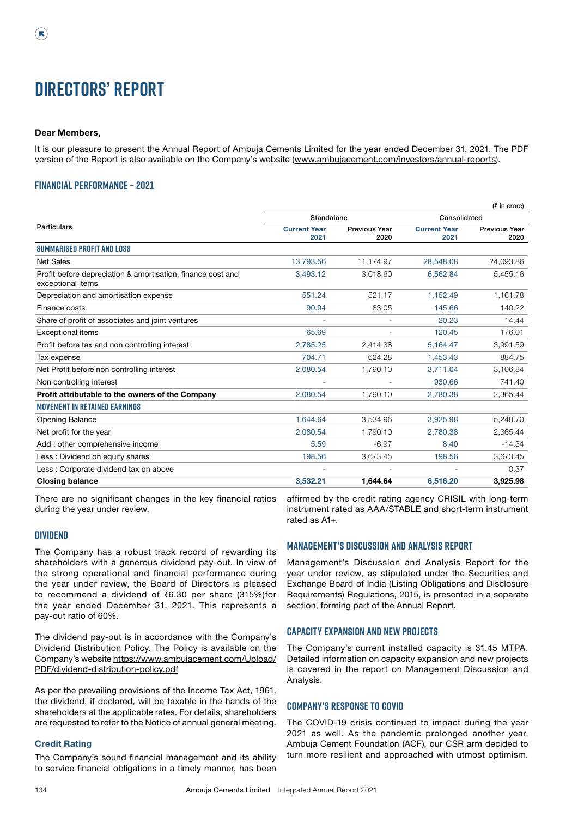# **Directors' Report**

#### Dear Members,

It is our pleasure to present the Annual Report of Ambuja Cements Limited for the year ended December 31, 2021. The PDF version of the Report is also available on the Company's website [\(www.ambujacement.com/investors/annual-reports\)](http://www.ambujacement.com/investors/annual-reports).

### **Financial Performance – 2021**

| Consolidated<br>Standalone<br>Particulars<br><b>Current Year</b><br><b>Current Year</b><br><b>Previous Year</b><br><b>Previous Year</b><br>2020<br>2021<br>2021<br>2020<br><b>SUMMARISED PROFIT AND LOSS</b><br>24,093.86<br><b>Net Sales</b><br>13,793.56<br>28,548.08<br>11,174.97<br>3.018.60<br>5,455.16<br>Profit before depreciation & amortisation, finance cost and<br>3,493.12<br>6,562.84<br>exceptional items<br>Depreciation and amortisation expense<br>551.24<br>521.17<br>1,152.49<br>1,161.78<br>90.94<br>83.05<br>145.66<br>140.22<br>Finance costs<br>20.23<br>14.44<br>Share of profit of associates and joint ventures<br>65.69<br>120.45<br>176.01<br><b>Exceptional items</b><br>3,991.59<br>Profit before tax and non controlling interest<br>2,785.25<br>2,414.38<br>5,164.47<br>704.71<br>624.28<br>1,453.43<br>884.75<br>Tax expense<br>2,080.54<br>1,790.10<br>3.711.04<br>3.106.84<br>Net Profit before non controlling interest<br>741.40<br>Non controlling interest<br>930.66<br>Profit attributable to the owners of the Company<br>2.080.54<br>1.790.10<br>2,365.44<br>2.780.38<br><b>MOVEMENT IN RETAINED EARNINGS</b><br>1.644.64<br>3,534.96<br>3,925.98<br>5,248.70<br><b>Opening Balance</b><br>Net profit for the year<br>2,080.54<br>1,790.10<br>2,780.38<br>2,365.44<br>$-14.34$<br>$-6.97$<br>8.40<br>Add: other comprehensive income<br>5.59<br>3,673.45<br>198.56<br>3,673.45<br>198.56<br>Less: Dividend on equity shares<br>Less: Corporate dividend tax on above<br>0.37<br><b>Closing balance</b><br>3,925.98<br>3,532.21<br>1,644.64<br>6,516.20 |  |  | $(5$ in crore) |
|---------------------------------------------------------------------------------------------------------------------------------------------------------------------------------------------------------------------------------------------------------------------------------------------------------------------------------------------------------------------------------------------------------------------------------------------------------------------------------------------------------------------------------------------------------------------------------------------------------------------------------------------------------------------------------------------------------------------------------------------------------------------------------------------------------------------------------------------------------------------------------------------------------------------------------------------------------------------------------------------------------------------------------------------------------------------------------------------------------------------------------------------------------------------------------------------------------------------------------------------------------------------------------------------------------------------------------------------------------------------------------------------------------------------------------------------------------------------------------------------------------------------------------------------------------------------------------------------------|--|--|----------------|
|                                                                                                                                                                                                                                                                                                                                                                                                                                                                                                                                                                                                                                                                                                                                                                                                                                                                                                                                                                                                                                                                                                                                                                                                                                                                                                                                                                                                                                                                                                                                                                                                   |  |  |                |
|                                                                                                                                                                                                                                                                                                                                                                                                                                                                                                                                                                                                                                                                                                                                                                                                                                                                                                                                                                                                                                                                                                                                                                                                                                                                                                                                                                                                                                                                                                                                                                                                   |  |  |                |
|                                                                                                                                                                                                                                                                                                                                                                                                                                                                                                                                                                                                                                                                                                                                                                                                                                                                                                                                                                                                                                                                                                                                                                                                                                                                                                                                                                                                                                                                                                                                                                                                   |  |  |                |
|                                                                                                                                                                                                                                                                                                                                                                                                                                                                                                                                                                                                                                                                                                                                                                                                                                                                                                                                                                                                                                                                                                                                                                                                                                                                                                                                                                                                                                                                                                                                                                                                   |  |  |                |
|                                                                                                                                                                                                                                                                                                                                                                                                                                                                                                                                                                                                                                                                                                                                                                                                                                                                                                                                                                                                                                                                                                                                                                                                                                                                                                                                                                                                                                                                                                                                                                                                   |  |  |                |
|                                                                                                                                                                                                                                                                                                                                                                                                                                                                                                                                                                                                                                                                                                                                                                                                                                                                                                                                                                                                                                                                                                                                                                                                                                                                                                                                                                                                                                                                                                                                                                                                   |  |  |                |
|                                                                                                                                                                                                                                                                                                                                                                                                                                                                                                                                                                                                                                                                                                                                                                                                                                                                                                                                                                                                                                                                                                                                                                                                                                                                                                                                                                                                                                                                                                                                                                                                   |  |  |                |
|                                                                                                                                                                                                                                                                                                                                                                                                                                                                                                                                                                                                                                                                                                                                                                                                                                                                                                                                                                                                                                                                                                                                                                                                                                                                                                                                                                                                                                                                                                                                                                                                   |  |  |                |
|                                                                                                                                                                                                                                                                                                                                                                                                                                                                                                                                                                                                                                                                                                                                                                                                                                                                                                                                                                                                                                                                                                                                                                                                                                                                                                                                                                                                                                                                                                                                                                                                   |  |  |                |
|                                                                                                                                                                                                                                                                                                                                                                                                                                                                                                                                                                                                                                                                                                                                                                                                                                                                                                                                                                                                                                                                                                                                                                                                                                                                                                                                                                                                                                                                                                                                                                                                   |  |  |                |
|                                                                                                                                                                                                                                                                                                                                                                                                                                                                                                                                                                                                                                                                                                                                                                                                                                                                                                                                                                                                                                                                                                                                                                                                                                                                                                                                                                                                                                                                                                                                                                                                   |  |  |                |
|                                                                                                                                                                                                                                                                                                                                                                                                                                                                                                                                                                                                                                                                                                                                                                                                                                                                                                                                                                                                                                                                                                                                                                                                                                                                                                                                                                                                                                                                                                                                                                                                   |  |  |                |
|                                                                                                                                                                                                                                                                                                                                                                                                                                                                                                                                                                                                                                                                                                                                                                                                                                                                                                                                                                                                                                                                                                                                                                                                                                                                                                                                                                                                                                                                                                                                                                                                   |  |  |                |
|                                                                                                                                                                                                                                                                                                                                                                                                                                                                                                                                                                                                                                                                                                                                                                                                                                                                                                                                                                                                                                                                                                                                                                                                                                                                                                                                                                                                                                                                                                                                                                                                   |  |  |                |
|                                                                                                                                                                                                                                                                                                                                                                                                                                                                                                                                                                                                                                                                                                                                                                                                                                                                                                                                                                                                                                                                                                                                                                                                                                                                                                                                                                                                                                                                                                                                                                                                   |  |  |                |
|                                                                                                                                                                                                                                                                                                                                                                                                                                                                                                                                                                                                                                                                                                                                                                                                                                                                                                                                                                                                                                                                                                                                                                                                                                                                                                                                                                                                                                                                                                                                                                                                   |  |  |                |
|                                                                                                                                                                                                                                                                                                                                                                                                                                                                                                                                                                                                                                                                                                                                                                                                                                                                                                                                                                                                                                                                                                                                                                                                                                                                                                                                                                                                                                                                                                                                                                                                   |  |  |                |
|                                                                                                                                                                                                                                                                                                                                                                                                                                                                                                                                                                                                                                                                                                                                                                                                                                                                                                                                                                                                                                                                                                                                                                                                                                                                                                                                                                                                                                                                                                                                                                                                   |  |  |                |
|                                                                                                                                                                                                                                                                                                                                                                                                                                                                                                                                                                                                                                                                                                                                                                                                                                                                                                                                                                                                                                                                                                                                                                                                                                                                                                                                                                                                                                                                                                                                                                                                   |  |  |                |
|                                                                                                                                                                                                                                                                                                                                                                                                                                                                                                                                                                                                                                                                                                                                                                                                                                                                                                                                                                                                                                                                                                                                                                                                                                                                                                                                                                                                                                                                                                                                                                                                   |  |  |                |
|                                                                                                                                                                                                                                                                                                                                                                                                                                                                                                                                                                                                                                                                                                                                                                                                                                                                                                                                                                                                                                                                                                                                                                                                                                                                                                                                                                                                                                                                                                                                                                                                   |  |  |                |

There are no significant changes in the key financial ratios during the year under review.

#### **Dividend**

The Company has a robust track record of rewarding its shareholders with a generous dividend pay-out. In view of the strong operational and financial performance during the year under review, the Board of Directors is pleased to recommend a dividend of ₹6.30 per share (315%)for the year ended December 31, 2021. This represents a pay-out ratio of 60%.

The dividend pay-out is in accordance with the Company's Dividend Distribution Policy. The Policy is available on the Company's website [https://www.ambujacement.com/Upload/](https://www.ambujacement.com/Upload/PDF/dividend-distribution-policy.pdf) [PDF/dividend-distribution-policy.pdf](https://www.ambujacement.com/Upload/PDF/dividend-distribution-policy.pdf)

As per the prevailing provisions of the Income Tax Act, 1961, the dividend, if declared, will be taxable in the hands of the shareholders at the applicable rates. For details, shareholders are requested to refer to the Notice of annual general meeting.

#### Credit Rating

The Company's sound financial management and its ability to service financial obligations in a timely manner, has been affirmed by the credit rating agency CRISIL with long-term instrument rated as AAA/STABLE and short-term instrument rated as A1+.

#### **Management's Discussion and Analysis Report**

Management's Discussion and Analysis Report for the year under review, as stipulated under the Securities and Exchange Board of India (Listing Obligations and Disclosure Requirements) Regulations, 2015, is presented in a separate section, forming part of the Annual Report.

#### **Capacity Expansion and New Projects**

The Company's current installed capacity is 31.45 MTPA. Detailed information on capacity expansion and new projects is covered in the report on Management Discussion and Analysis.

#### **Company's Response to COVID**

The COVID-19 crisis continued to impact during the year 2021 as well. As the pandemic prolonged another year, Ambuja Cement Foundation (ACF), our CSR arm decided to turn more resilient and approached with utmost optimism.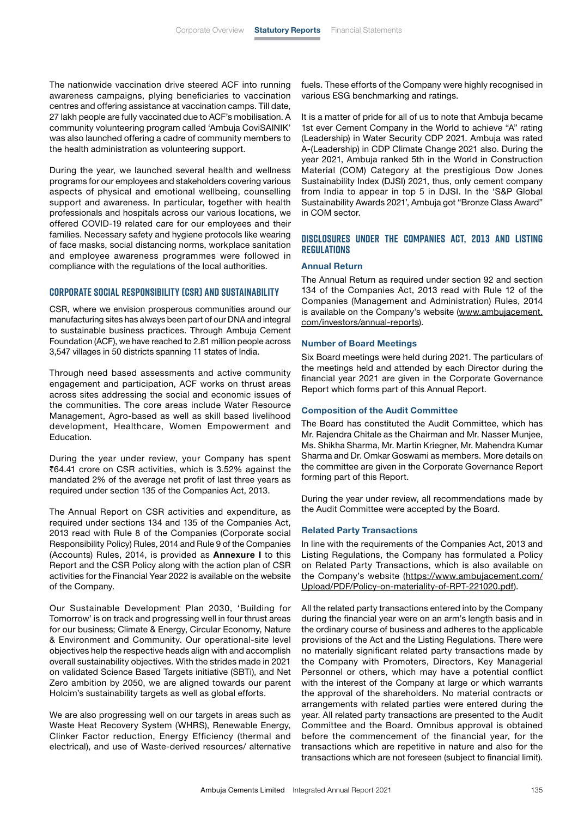The nationwide vaccination drive steered ACF into running awareness campaigns, plying beneficiaries to vaccination centres and offering assistance at vaccination camps. Till date, 27 lakh people are fully vaccinated due to ACF's mobilisation. A community volunteering program called 'Ambuja CoviSAINIK' was also launched offering a cadre of community members to the health administration as volunteering support.

During the year, we launched several health and wellness programs for our employees and stakeholders covering various aspects of physical and emotional wellbeing, counselling support and awareness. In particular, together with health professionals and hospitals across our various locations, we offered COVID-19 related care for our employees and their families. Necessary safety and hygiene protocols like wearing of face masks, social distancing norms, workplace sanitation and employee awareness programmes were followed in compliance with the regulations of the local authorities.

#### **Corporate Social Responsibility (CSR) and Sustainability**

CSR, where we envision prosperous communities around our manufacturing sites has always been part of our DNA and integral to sustainable business practices. Through Ambuja Cement Foundation (ACF), we have reached to 2.81 million people across 3,547 villages in 50 districts spanning 11 states of India.

Through need based assessments and active community engagement and participation, ACF works on thrust areas across sites addressing the social and economic issues of the communities. The core areas include Water Resource Management, Agro-based as well as skill based livelihood development, Healthcare, Women Empowerment and Education.

During the year under review, your Company has spent ₹64.41 crore on CSR activities, which is 3.52% against the mandated 2% of the average net profit of last three years as required under section 135 of the Companies Act, 2013.

The Annual Report on CSR activities and expenditure, as required under sections 134 and 135 of the Companies Act, 2013 read with Rule 8 of the Companies (Corporate social Responsibility Policy) Rules, 2014 and Rule 9 of the Companies (Accounts) Rules, 2014, is provided as **Annexure I** to this Report and the CSR Policy along with the action plan of CSR activities for the Financial Year 2022 is available on the website of the Company.

Our Sustainable Development Plan 2030, 'Building for Tomorrow' is on track and progressing well in four thrust areas for our business; Climate & Energy, Circular Economy, Nature & Environment and Community. Our operational-site level objectives help the respective heads align with and accomplish overall sustainability objectives. With the strides made in 2021 on validated Science Based Targets initiative (SBTi), and Net Zero ambition by 2050, we are aligned towards our parent Holcim's sustainability targets as well as global efforts.

We are also progressing well on our targets in areas such as Waste Heat Recovery System (WHRS), Renewable Energy, Clinker Factor reduction, Energy Efficiency (thermal and electrical), and use of Waste-derived resources/ alternative fuels. These efforts of the Company were highly recognised in various ESG benchmarking and ratings.

It is a matter of pride for all of us to note that Ambuja became 1st ever Cement Company in the World to achieve "A" rating (Leadership) in Water Security CDP 2021. Ambuja was rated A-(Leadership) in CDP Climate Change 2021 also. During the year 2021, Ambuja ranked 5th in the World in Construction Material (COM) Category at the prestigious Dow Jones Sustainability Index (DJSI) 2021, thus, only cement company from India to appear in top 5 in DJSI. In the 'S&P Global Sustainability Awards 2021', Ambuja got "Bronze Class Award" in COM sector.

#### **Disclosures under the Companies Act, 2013 and Listing Regulations**

#### Annual Return

The Annual Return as required under section 92 and section 134 of the Companies Act, 2013 read with Rule 12 of the Companies (Management and Administration) Rules, 2014 is available on the Company's website ([www.ambujacement.](http://www.ambujacement.com/investors/annual-reports) [com/investors/annual-reports\)](http://www.ambujacement.com/investors/annual-reports).

#### Number of Board Meetings

Six Board meetings were held during 2021. The particulars of the meetings held and attended by each Director during the financial year 2021 are given in the Corporate Governance Report which forms part of this Annual Report.

#### Composition of the Audit Committee

The Board has constituted the Audit Committee, which has Mr. Rajendra Chitale as the Chairman and Mr. Nasser Munjee, Ms. Shikha Sharma, Mr. Martin Kriegner, Mr. Mahendra Kumar Sharma and Dr. Omkar Goswami as members. More details on the committee are given in the Corporate Governance Report forming part of this Report.

During the year under review, all recommendations made by the Audit Committee were accepted by the Board.

#### Related Party Transactions

In line with the requirements of the Companies Act, 2013 and Listing Regulations, the Company has formulated a Policy on Related Party Transactions, which is also available on the Company's website ([https://www.ambujacement.com/](https://www.ambujacement.com/ Upload/PDF/Policy-on-materiality-of-RPT-221020.pdf) [Upload/PDF/Policy-on-materiality-of-RPT-221020.pdf](https://www.ambujacement.com/ Upload/PDF/Policy-on-materiality-of-RPT-221020.pdf)).

All the related party transactions entered into by the Company during the financial year were on an arm's length basis and in the ordinary course of business and adheres to the applicable provisions of the Act and the Listing Regulations. There were no materially significant related party transactions made by the Company with Promoters, Directors, Key Managerial Personnel or others, which may have a potential conflict with the interest of the Company at large or which warrants the approval of the shareholders. No material contracts or arrangements with related parties were entered during the year. All related party transactions are presented to the Audit Committee and the Board. Omnibus approval is obtained before the commencement of the financial year, for the transactions which are repetitive in nature and also for the transactions which are not foreseen (subject to financial limit).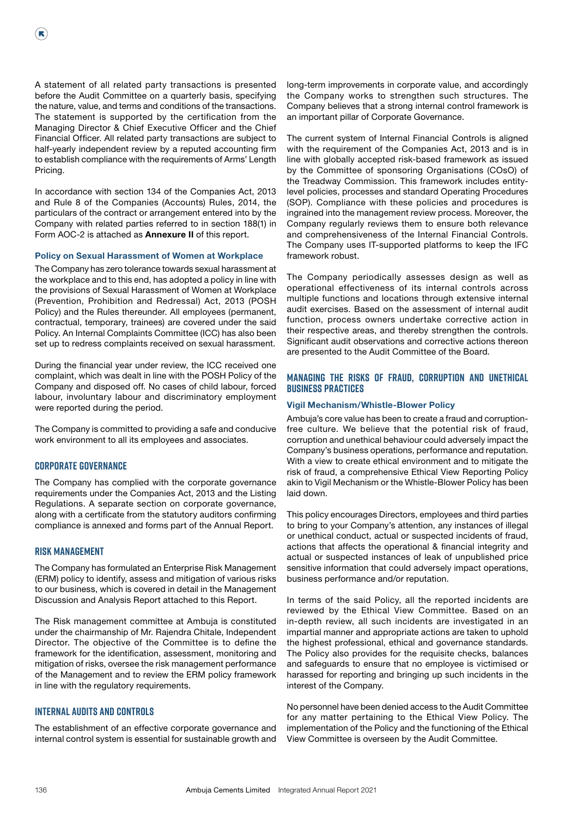A statement of all related party transactions is presented before the Audit Committee on a quarterly basis, specifying the nature, value, and terms and conditions of the transactions. The statement is supported by the certification from the Managing Director & Chief Executive Officer and the Chief Financial Officer. All related party transactions are subject to half-yearly independent review by a reputed accounting firm to establish compliance with the requirements of Arms' Length Pricing.

In accordance with section 134 of the Companies Act, 2013 and Rule 8 of the Companies (Accounts) Rules, 2014, the particulars of the contract or arrangement entered into by the Company with related parties referred to in section 188(1) in Form AOC-2 is attached as Annexure II of this report.

#### Policy on Sexual Harassment of Women at Workplace

The Company has zero tolerance towards sexual harassment at the workplace and to this end, has adopted a policy in line with the provisions of Sexual Harassment of Women at Workplace (Prevention, Prohibition and Redressal) Act, 2013 (POSH Policy) and the Rules thereunder. All employees (permanent, contractual, temporary, trainees) are covered under the said Policy. An Internal Complaints Committee (ICC) has also been set up to redress complaints received on sexual harassment.

During the financial year under review, the ICC received one complaint, which was dealt in line with the POSH Policy of the Company and disposed off. No cases of child labour, forced labour, involuntary labour and discriminatory employment were reported during the period.

The Company is committed to providing a safe and conducive work environment to all its employees and associates.

#### **Corporate Governance**

The Company has complied with the corporate governance requirements under the Companies Act, 2013 and the Listing Regulations. A separate section on corporate governance, along with a certificate from the statutory auditors confirming compliance is annexed and forms part of the Annual Report.

#### **Risk Management**

The Company has formulated an Enterprise Risk Management (ERM) policy to identify, assess and mitigation of various risks to our business, which is covered in detail in the Management Discussion and Analysis Report attached to this Report.

The Risk management committee at Ambuja is constituted under the chairmanship of Mr. Rajendra Chitale, Independent Director. The objective of the Committee is to define the framework for the identification, assessment, monitoring and mitigation of risks, oversee the risk management performance of the Management and to review the ERM policy framework in line with the regulatory requirements.

#### **Internal Audits and Controls**

The establishment of an effective corporate governance and internal control system is essential for sustainable growth and long-term improvements in corporate value, and accordingly the Company works to strengthen such structures. The Company believes that a strong internal control framework is an important pillar of Corporate Governance.

The current system of Internal Financial Controls is aligned with the requirement of the Companies Act, 2013 and is in line with globally accepted risk-based framework as issued by the Committee of sponsoring Organisations (COsO) of the Treadway Commission. This framework includes entitylevel policies, processes and standard Operating Procedures (SOP). Compliance with these policies and procedures is ingrained into the management review process. Moreover, the Company regularly reviews them to ensure both relevance and comprehensiveness of the Internal Financial Controls. The Company uses IT-supported platforms to keep the IFC framework robust.

The Company periodically assesses design as well as operational effectiveness of its internal controls across multiple functions and locations through extensive internal audit exercises. Based on the assessment of internal audit function, process owners undertake corrective action in their respective areas, and thereby strengthen the controls. Significant audit observations and corrective actions thereon are presented to the Audit Committee of the Board.

#### **Managing the Risks of Fraud, Corruption and Unethical Business Practices**

#### Vigil Mechanism/Whistle-Blower Policy

Ambuja's core value has been to create a fraud and corruptionfree culture. We believe that the potential risk of fraud, corruption and unethical behaviour could adversely impact the Company's business operations, performance and reputation. With a view to create ethical environment and to mitigate the risk of fraud, a comprehensive Ethical View Reporting Policy akin to Vigil Mechanism or the Whistle-Blower Policy has been laid down.

This policy encourages Directors, employees and third parties to bring to your Company's attention, any instances of illegal or unethical conduct, actual or suspected incidents of fraud, actions that affects the operational & financial integrity and actual or suspected instances of leak of unpublished price sensitive information that could adversely impact operations, business performance and/or reputation.

In terms of the said Policy, all the reported incidents are reviewed by the Ethical View Committee. Based on an in-depth review, all such incidents are investigated in an impartial manner and appropriate actions are taken to uphold the highest professional, ethical and governance standards. The Policy also provides for the requisite checks, balances and safeguards to ensure that no employee is victimised or harassed for reporting and bringing up such incidents in the interest of the Company.

No personnel have been denied access to the Audit Committee for any matter pertaining to the Ethical View Policy. The implementation of the Policy and the functioning of the Ethical View Committee is overseen by the Audit Committee.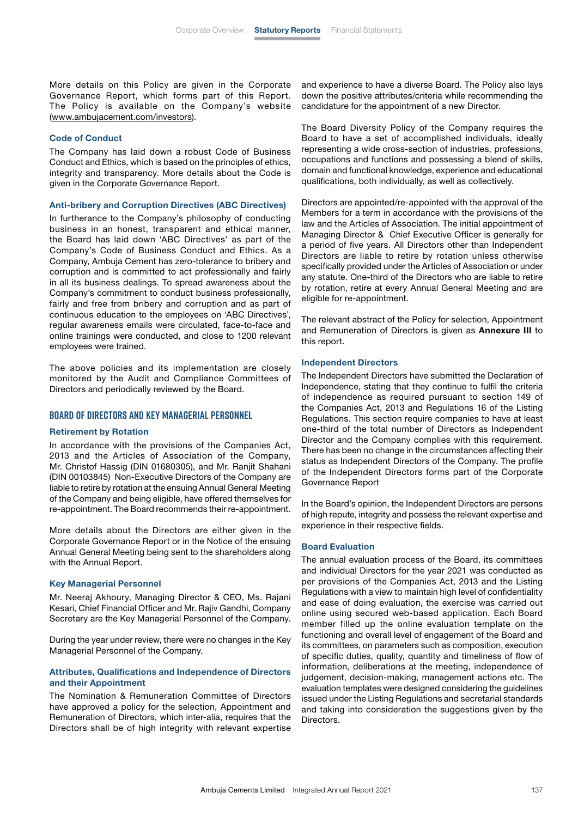More details on this Policy are given in the Corporate Governance Report, which forms part of this Report. The Policy is available on the Company's website [\(www.ambujacement.com/investors\)](http://www.ambujacement.com/investors).

#### Code of Conduct

The Company has laid down a robust Code of Business Conduct and Ethics, which is based on the principles of ethics, integrity and transparency. More details about the Code is given in the Corporate Governance Report.

#### Anti-bribery and Corruption Directives (ABC Directives)

In furtherance to the Company's philosophy of conducting business in an honest, transparent and ethical manner, the Board has laid down 'ABC Directives' as part of the Company's Code of Business Conduct and Ethics. As a Company, Ambuja Cement has zero-tolerance to bribery and corruption and is committed to act professionally and fairly in all its business dealings. To spread awareness about the Company's commitment to conduct business professionally, fairly and free from bribery and corruption and as part of continuous education to the employees on 'ABC Directives', regular awareness emails were circulated, face-to-face and online trainings were conducted, and close to 1200 relevant employees were trained.

The above policies and its implementation are closely monitored by the Audit and Compliance Committees of Directors and periodically reviewed by the Board.

#### **Board of Directors and Key Managerial Personnel**

#### Retirement by Rotation

In accordance with the provisions of the Companies Act, 2013 and the Articles of Association of the Company, Mr. Christof Hassig (DIN 01680305), and Mr. Ranjit Shahani (DIN 00103845) Non-Executive Directors of the Company are liable to retire by rotation at the ensuing Annual General Meeting of the Company and being eligible, have offered themselves for re-appointment. The Board recommends their re-appointment.

More details about the Directors are either given in the Corporate Governance Report or in the Notice of the ensuing Annual General Meeting being sent to the shareholders along with the Annual Report.

#### Key Managerial Personnel

Mr. Neeraj Akhoury, Managing Director & CEO, Ms. Rajani Kesari, Chief Financial Officer and Mr. Rajiv Gandhi, Company Secretary are the Key Managerial Personnel of the Company.

During the year under review, there were no changes in the Key Managerial Personnel of the Company.

#### Attributes, Qualifications and Independence of Directors and their Appointment

The Nomination & Remuneration Committee of Directors have approved a policy for the selection, Appointment and Remuneration of Directors, which inter-alia, requires that the Directors shall be of high integrity with relevant expertise and experience to have a diverse Board. The Policy also lays down the positive attributes/criteria while recommending the candidature for the appointment of a new Director.

The Board Diversity Policy of the Company requires the Board to have a set of accomplished individuals, ideally representing a wide cross-section of industries, professions, occupations and functions and possessing a blend of skills, domain and functional knowledge, experience and educational qualifications, both individually, as well as collectively.

Directors are appointed/re-appointed with the approval of the Members for a term in accordance with the provisions of the law and the Articles of Association. The initial appointment of Managing Director & Chief Executive Officer is generally for a period of five years. All Directors other than Independent Directors are liable to retire by rotation unless otherwise specifically provided under the Articles of Association or under any statute. One-third of the Directors who are liable to retire by rotation, retire at every Annual General Meeting and are eligible for re-appointment.

The relevant abstract of the Policy for selection, Appointment and Remuneration of Directors is given as Annexure III to this report.

#### Independent Directors

The Independent Directors have submitted the Declaration of Independence, stating that they continue to fulfil the criteria of independence as required pursuant to section 149 of the Companies Act, 2013 and Regulations 16 of the Listing Regulations. This section require companies to have at least one-third of the total number of Directors as Independent Director and the Company complies with this requirement. There has been no change in the circumstances affecting their status as Independent Directors of the Company. The profile of the Independent Directors forms part of the Corporate Governance Report

In the Board's opinion, the Independent Directors are persons of high repute, integrity and possess the relevant expertise and experience in their respective fields.

#### Board Evaluation

The annual evaluation process of the Board, its committees and individual Directors for the year 2021 was conducted as per provisions of the Companies Act, 2013 and the Listing Regulations with a view to maintain high level of confidentiality and ease of doing evaluation, the exercise was carried out online using secured web-based application. Each Board member filled up the online evaluation template on the functioning and overall level of engagement of the Board and its committees, on parameters such as composition, execution of specific duties, quality, quantity and timeliness of flow of information, deliberations at the meeting, independence of judgement, decision-making, management actions etc. The evaluation templates were designed considering the guidelines issued under the Listing Regulations and secretarial standards and taking into consideration the suggestions given by the **Directors**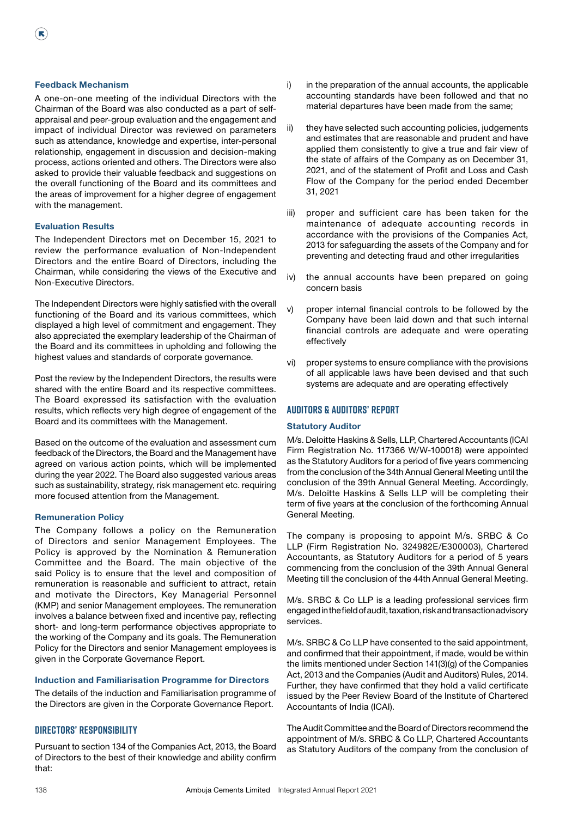#### Feedback Mechanism

 $(\mathbf{R})$ 

A one-on-one meeting of the individual Directors with the Chairman of the Board was also conducted as a part of selfappraisal and peer-group evaluation and the engagement and impact of individual Director was reviewed on parameters such as attendance, knowledge and expertise, inter-personal relationship, engagement in discussion and decision-making process, actions oriented and others. The Directors were also asked to provide their valuable feedback and suggestions on the overall functioning of the Board and its committees and the areas of improvement for a higher degree of engagement with the management.

#### Evaluation Results

The Independent Directors met on December 15, 2021 to review the performance evaluation of Non-Independent Directors and the entire Board of Directors, including the Chairman, while considering the views of the Executive and Non-Executive Directors.

The Independent Directors were highly satisfied with the overall functioning of the Board and its various committees, which displayed a high level of commitment and engagement. They also appreciated the exemplary leadership of the Chairman of the Board and its committees in upholding and following the highest values and standards of corporate governance.

Post the review by the Independent Directors, the results were shared with the entire Board and its respective committees. The Board expressed its satisfaction with the evaluation results, which reflects very high degree of engagement of the Board and its committees with the Management.

Based on the outcome of the evaluation and assessment cum feedback of the Directors, the Board and the Management have agreed on various action points, which will be implemented during the year 2022. The Board also suggested various areas such as sustainability, strategy, risk management etc. requiring more focused attention from the Management.

#### Remuneration Policy

The Company follows a policy on the Remuneration of Directors and senior Management Employees. The Policy is approved by the Nomination & Remuneration Committee and the Board. The main objective of the said Policy is to ensure that the level and composition of remuneration is reasonable and sufficient to attract, retain and motivate the Directors, Key Managerial Personnel (KMP) and senior Management employees. The remuneration involves a balance between fixed and incentive pay, reflecting short- and long-term performance objectives appropriate to the working of the Company and its goals. The Remuneration Policy for the Directors and senior Management employees is given in the Corporate Governance Report.

#### Induction and Familiarisation Programme for Directors

The details of the induction and Familiarisation programme of the Directors are given in the Corporate Governance Report.

#### **Directors' Responsibility**

Pursuant to section 134 of the Companies Act, 2013, the Board of Directors to the best of their knowledge and ability confirm that:

- i) in the preparation of the annual accounts, the applicable accounting standards have been followed and that no material departures have been made from the same;
- ii) they have selected such accounting policies, judgements and estimates that are reasonable and prudent and have applied them consistently to give a true and fair view of the state of affairs of the Company as on December 31, 2021, and of the statement of Profit and Loss and Cash Flow of the Company for the period ended December 31, 2021
- iii) proper and sufficient care has been taken for the maintenance of adequate accounting records in accordance with the provisions of the Companies Act, 2013 for safeguarding the assets of the Company and for preventing and detecting fraud and other irregularities
- iv) the annual accounts have been prepared on going concern basis
- v) proper internal financial controls to be followed by the Company have been laid down and that such internal financial controls are adequate and were operating effectively
- vi) proper systems to ensure compliance with the provisions of all applicable laws have been devised and that such systems are adequate and are operating effectively

#### **Auditors & Auditors' Report**

#### Statutory Auditor

M/s. Deloitte Haskins & Sells, LLP, Chartered Accountants (ICAI Firm Registration No. 117366 W/W-100018) were appointed as the Statutory Auditors for a period of five years commencing from the conclusion of the 34th Annual General Meeting until the conclusion of the 39th Annual General Meeting. Accordingly, M/s. Deloitte Haskins & Sells LLP will be completing their term of five years at the conclusion of the forthcoming Annual General Meeting.

The company is proposing to appoint M/s. SRBC & Co LLP (Firm Registration No. 324982E/E300003), Chartered Accountants, as Statutory Auditors for a period of 5 years commencing from the conclusion of the 39th Annual General Meeting till the conclusion of the 44th Annual General Meeting.

M/s. SRBC & Co LLP is a leading professional services firm engaged in the field of audit, taxation, risk and transaction advisory services.

M/s. SRBC & Co LLP have consented to the said appointment, and confirmed that their appointment, if made, would be within the limits mentioned under Section 141(3)(g) of the Companies Act, 2013 and the Companies (Audit and Auditors) Rules, 2014. Further, they have confirmed that they hold a valid certificate issued by the Peer Review Board of the Institute of Chartered Accountants of India (ICAI).

The Audit Committee and the Board of Directors recommend the appointment of M/s. SRBC & Co LLP, Chartered Accountants as Statutory Auditors of the company from the conclusion of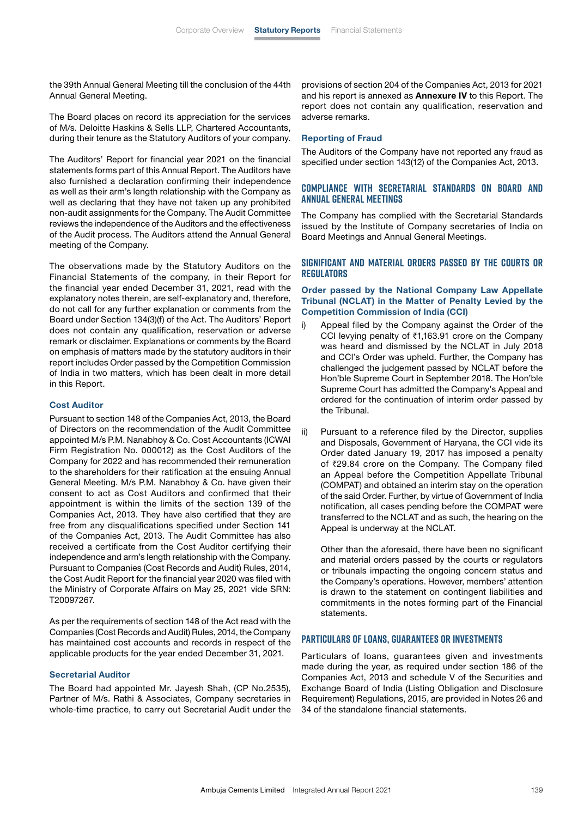the 39th Annual General Meeting till the conclusion of the 44th Annual General Meeting.

The Board places on record its appreciation for the services of M/s. Deloitte Haskins & Sells LLP, Chartered Accountants, during their tenure as the Statutory Auditors of your company.

The Auditors' Report for financial year 2021 on the financial statements forms part of this Annual Report. The Auditors have also furnished a declaration confirming their independence as well as their arm's length relationship with the Company as well as declaring that they have not taken up any prohibited non-audit assignments for the Company. The Audit Committee reviews the independence of the Auditors and the effectiveness of the Audit process. The Auditors attend the Annual General meeting of the Company.

The observations made by the Statutory Auditors on the Financial Statements of the company, in their Report for the financial year ended December 31, 2021, read with the explanatory notes therein, are self-explanatory and, therefore, do not call for any further explanation or comments from the Board under Section 134(3)(f) of the Act. The Auditors' Report does not contain any qualification, reservation or adverse remark or disclaimer. Explanations or comments by the Board on emphasis of matters made by the statutory auditors in their report includes Order passed by the Competition Commission of India in two matters, which has been dealt in more detail in this Report.

#### Cost Auditor

Pursuant to section 148 of the Companies Act, 2013, the Board of Directors on the recommendation of the Audit Committee appointed M/s P.M. Nanabhoy & Co. Cost Accountants (ICWAI Firm Registration No. 000012) as the Cost Auditors of the Company for 2022 and has recommended their remuneration to the shareholders for their ratification at the ensuing Annual General Meeting. M/s P.M. Nanabhoy & Co. have given their consent to act as Cost Auditors and confirmed that their appointment is within the limits of the section 139 of the Companies Act, 2013. They have also certified that they are free from any disqualifications specified under Section 141 of the Companies Act, 2013. The Audit Committee has also received a certificate from the Cost Auditor certifying their independence and arm's length relationship with the Company. Pursuant to Companies (Cost Records and Audit) Rules, 2014, the Cost Audit Report for the financial year 2020 was filed with the Ministry of Corporate Affairs on May 25, 2021 vide SRN: T20097267.

As per the requirements of section 148 of the Act read with the Companies (Cost Records and Audit) Rules, 2014, the Company has maintained cost accounts and records in respect of the applicable products for the year ended December 31, 2021.

#### Secretarial Auditor

The Board had appointed Mr. Jayesh Shah, (CP No.2535), Partner of M/s. Rathi & Associates, Company secretaries in whole-time practice, to carry out Secretarial Audit under the provisions of section 204 of the Companies Act, 2013 for 2021 and his report is annexed as Annexure IV to this Report. The report does not contain any qualification, reservation and adverse remarks.

#### Reporting of Fraud

The Auditors of the Company have not reported any fraud as specified under section 143(12) of the Companies Act, 2013.

#### **Compliance with Secretarial Standards on Board and Annual General Meetings**

The Company has complied with the Secretarial Standards issued by the Institute of Company secretaries of India on Board Meetings and Annual General Meetings.

#### **Significant and Material Orders Passed by the Courts or Regulators**

#### Order passed by the National Company Law Appellate Tribunal (NCLAT) in the Matter of Penalty Levied by the Competition Commission of India (CCI)

- i) Appeal filed by the Company against the Order of the CCI levying penalty of ₹1,163.91 crore on the Company was heard and dismissed by the NCLAT in July 2018 and CCI's Order was upheld. Further, the Company has challenged the judgement passed by NCLAT before the Hon'ble Supreme Court in September 2018. The Hon'ble Supreme Court has admitted the Company's Appeal and ordered for the continuation of interim order passed by the Tribunal.
- ii) Pursuant to a reference filed by the Director, supplies and Disposals, Government of Haryana, the CCI vide its Order dated January 19, 2017 has imposed a penalty of `29.84 crore on the Company. The Company filed an Appeal before the Competition Appellate Tribunal (COMPAT) and obtained an interim stay on the operation of the said Order. Further, by virtue of Government of India notification, all cases pending before the COMPAT were transferred to the NCLAT and as such, the hearing on the Appeal is underway at the NCLAT.

 Other than the aforesaid, there have been no significant and material orders passed by the courts or regulators or tribunals impacting the ongoing concern status and the Company's operations. However, members' attention is drawn to the statement on contingent liabilities and commitments in the notes forming part of the Financial statements.

#### **Particulars of loans, guarantees or investments**

Particulars of loans, guarantees given and investments made during the year, as required under section 186 of the Companies Act, 2013 and schedule V of the Securities and Exchange Board of India (Listing Obligation and Disclosure Requirement) Regulations, 2015, are provided in Notes 26 and 34 of the standalone financial statements.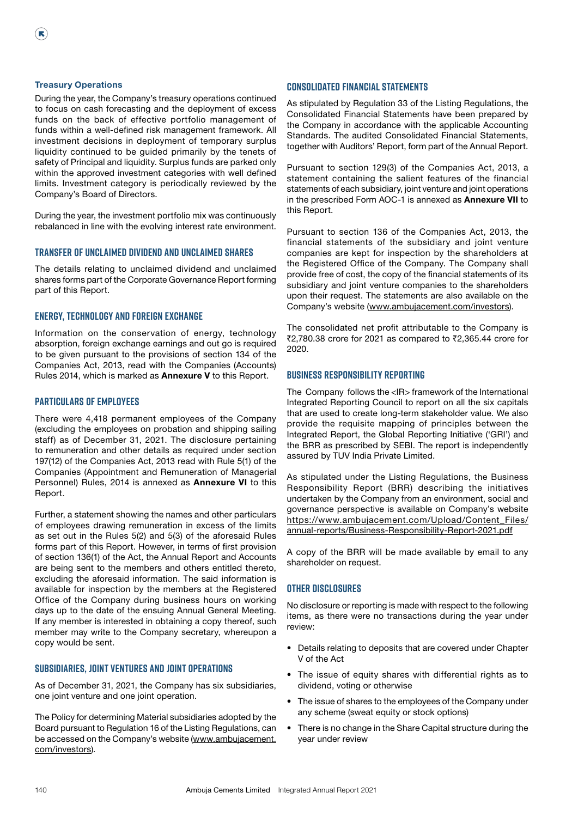#### Treasury Operations

 $(\mathbf{R})$ 

During the year, the Company's treasury operations continued to focus on cash forecasting and the deployment of excess funds on the back of effective portfolio management of funds within a well-defined risk management framework. All investment decisions in deployment of temporary surplus liquidity continued to be guided primarily by the tenets of safety of Principal and liquidity. Surplus funds are parked only within the approved investment categories with well defined limits. Investment category is periodically reviewed by the Company's Board of Directors.

During the year, the investment portfolio mix was continuously rebalanced in line with the evolving interest rate environment.

#### **Transfer of Unclaimed Dividend and Unclaimed shares**

The details relating to unclaimed dividend and unclaimed shares forms part of the Corporate Governance Report forming part of this Report.

#### **Energy, Technology and Foreign Exchange**

Information on the conservation of energy, technology absorption, foreign exchange earnings and out go is required to be given pursuant to the provisions of section 134 of the Companies Act, 2013, read with the Companies (Accounts) Rules 2014, which is marked as Annexure V to this Report.

#### **Particulars of Employees**

There were 4,418 permanent employees of the Company (excluding the employees on probation and shipping sailing staff) as of December 31, 2021. The disclosure pertaining to remuneration and other details as required under section 197(12) of the Companies Act, 2013 read with Rule 5(1) of the Companies (Appointment and Remuneration of Managerial Personnel) Rules, 2014 is annexed as Annexure VI to this Report.

Further, a statement showing the names and other particulars of employees drawing remuneration in excess of the limits as set out in the Rules 5(2) and 5(3) of the aforesaid Rules forms part of this Report. However, in terms of first provision of section 136(1) of the Act, the Annual Report and Accounts are being sent to the members and others entitled thereto, excluding the aforesaid information. The said information is available for inspection by the members at the Registered Office of the Company during business hours on working days up to the date of the ensuing Annual General Meeting. If any member is interested in obtaining a copy thereof, such member may write to the Company secretary, whereupon a copy would be sent.

#### **subsidiaries, Joint Ventures and Joint Operations**

As of December 31, 2021, the Company has six subsidiaries, one joint venture and one joint operation.

The Policy for determining Material subsidiaries adopted by the Board pursuant to Regulation 16 of the Listing Regulations, can be accessed on the Company's website ([www.ambujacement.](http://www.ambujacement.com/investors) [com/investors\)](http://www.ambujacement.com/investors).

#### **Consolidated Financial Statements**

As stipulated by Regulation 33 of the Listing Regulations, the Consolidated Financial Statements have been prepared by the Company in accordance with the applicable Accounting Standards. The audited Consolidated Financial Statements, together with Auditors' Report, form part of the Annual Report.

Pursuant to section 129(3) of the Companies Act, 2013, a statement containing the salient features of the financial statements of each subsidiary, joint venture and joint operations in the prescribed Form AOC-1 is annexed as Annexure VII to this Report.

Pursuant to section 136 of the Companies Act, 2013, the financial statements of the subsidiary and joint venture companies are kept for inspection by the shareholders at the Registered Office of the Company. The Company shall provide free of cost, the copy of the financial statements of its subsidiary and joint venture companies to the shareholders upon their request. The statements are also available on the Company's website [\(www.ambujacement.com/investors\)](http://www.ambujacement.com/investors).

The consolidated net profit attributable to the Company is ₹2,780.38 crore for 2021 as compared to ₹2,365.44 crore for 2020.

#### **Business Responsibility Reporting**

The Company follows the <IR> framework of the International Integrated Reporting Council to report on all the six capitals that are used to create long-term stakeholder value. We also provide the requisite mapping of principles between the Integrated Report, the Global Reporting Initiative ('GRI') and the BRR as prescribed by SEBI. The report is independently assured by TUV India Private Limited.

As stipulated under the Listing Regulations, the Business Responsibility Report (BRR) describing the initiatives undertaken by the Company from an environment, social and governance perspective is available on Company's website [https://www.ambujacement.com/Upload/Content\\_Files/](https://www.ambujacement.com/Upload/Content_Files/annual-reports/Business-Responsibility-Report-2021.pdf) [annual-reports/Business-Responsibility-Report-2021.pdf](https://www.ambujacement.com/Upload/Content_Files/annual-reports/Business-Responsibility-Report-2021.pdf)

A copy of the BRR will be made available by email to any shareholder on request.

#### **Other Disclosures**

No disclosure or reporting is made with respect to the following items, as there were no transactions during the year under review:

- Details relating to deposits that are covered under Chapter V of the Act
- The issue of equity shares with differential rights as to dividend, voting or otherwise
- The issue of shares to the employees of the Company under any scheme (sweat equity or stock options)
- There is no change in the Share Capital structure during the year under review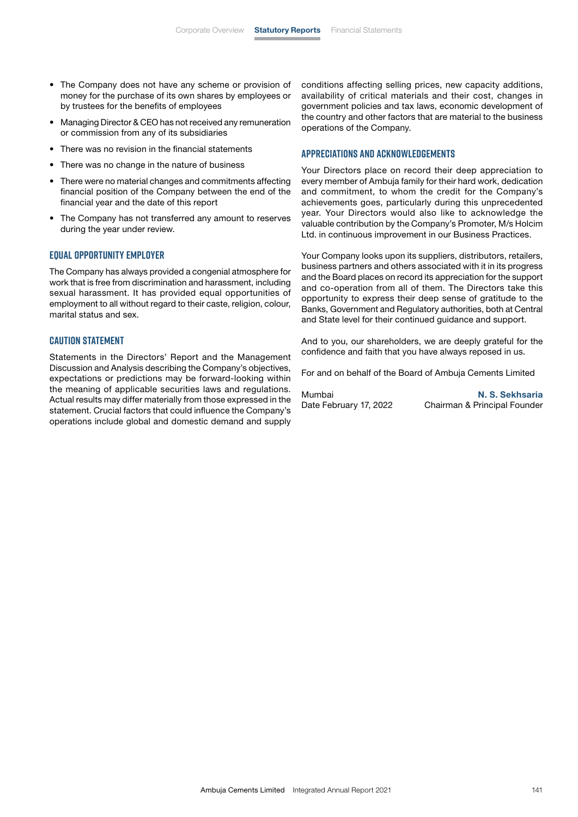- The Company does not have any scheme or provision of money for the purchase of its own shares by employees or by trustees for the benefits of employees
- Managing Director & CEO has not received any remuneration or commission from any of its subsidiaries
- There was no revision in the financial statements
- There was no change in the nature of business
- There were no material changes and commitments affecting financial position of the Company between the end of the financial year and the date of this report
- The Company has not transferred any amount to reserves during the year under review.

#### **Equal Opportunity Employer**

The Company has always provided a congenial atmosphere for work that is free from discrimination and harassment, including sexual harassment. It has provided equal opportunities of employment to all without regard to their caste, religion, colour, marital status and sex.

#### **Caution Statement**

Statements in the Directors' Report and the Management Discussion and Analysis describing the Company's objectives, expectations or predictions may be forward-looking within the meaning of applicable securities laws and regulations. Actual results may differ materially from those expressed in the statement. Crucial factors that could influence the Company's operations include global and domestic demand and supply conditions affecting selling prices, new capacity additions, availability of critical materials and their cost, changes in government policies and tax laws, economic development of the country and other factors that are material to the business operations of the Company.

#### **Appreciations and Acknowledgements**

Your Directors place on record their deep appreciation to every member of Ambuja family for their hard work, dedication and commitment, to whom the credit for the Company's achievements goes, particularly during this unprecedented year. Your Directors would also like to acknowledge the valuable contribution by the Company's Promoter, M/s Holcim Ltd. in continuous improvement in our Business Practices.

Your Company looks upon its suppliers, distributors, retailers, business partners and others associated with it in its progress and the Board places on record its appreciation for the support and co-operation from all of them. The Directors take this opportunity to express their deep sense of gratitude to the Banks, Government and Regulatory authorities, both at Central and State level for their continued guidance and support.

And to you, our shareholders, we are deeply grateful for the confidence and faith that you have always reposed in us.

For and on behalf of the Board of Ambuja Cements Limited

| Mumbai                 | N. S. Sekhsaria              |
|------------------------|------------------------------|
| Date February 17, 2022 | Chairman & Principal Founder |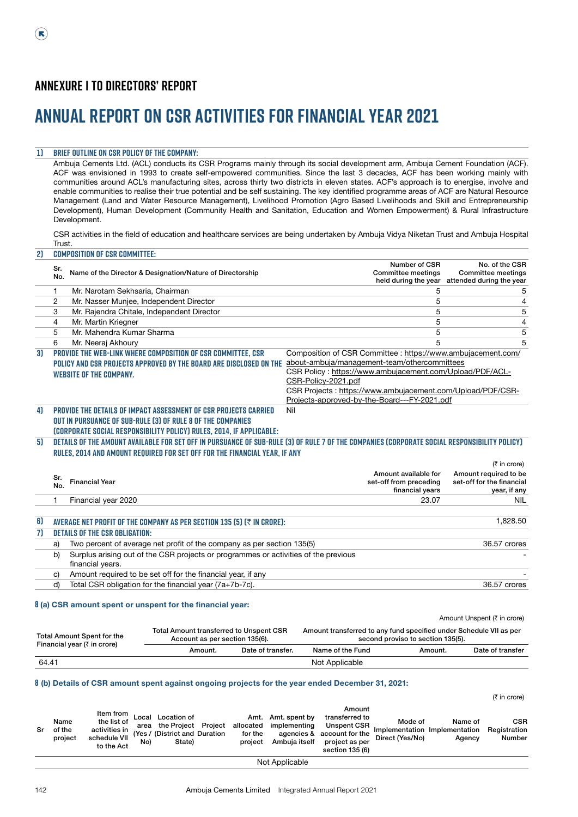# **Annual Report on CSR Activities for Financial year 2021**

### **1) Brief outline on CSR Policy of the Company:**

Ambuja Cements Ltd. (ACL) conducts its CSR Programs mainly through its social development arm, Ambuja Cement Foundation (ACF). ACF was envisioned in 1993 to create self-empowered communities. Since the last 3 decades, ACF has been working mainly with communities around ACL's manufacturing sites, across thirty two districts in eleven states. ACF's approach is to energise, involve and enable communities to realise their true potential and be self sustaining. The key identified programme areas of ACF are Natural Resource Management (Land and Water Resource Management), Livelihood Promotion (Agro Based Livelihoods and Skill and Entrepreneurship Development), Human Development (Community Health and Sanitation, Education and Women Empowerment) & Rural Infrastructure Development.

CSR activities in the field of education and healthcare services are being undertaken by Ambuja Vidya Niketan Trust and Ambuja Hospital Trust. **2) Composition of CSR Committee:**

|    | Sr.<br>No. | Name of the Director & Designation/Nature of Directorship                                                                                                                                                                  | Number of CSR<br>Committee meetings<br>held during the year  | No. of the CSR<br><b>Committee meetings</b><br>attended during the year |
|----|------------|----------------------------------------------------------------------------------------------------------------------------------------------------------------------------------------------------------------------------|--------------------------------------------------------------|-------------------------------------------------------------------------|
|    | 1.         | Mr. Narotam Sekhsaria, Chairman                                                                                                                                                                                            | 5                                                            | 5                                                                       |
|    | 2          | Mr. Nasser Munjee, Independent Director                                                                                                                                                                                    | 5                                                            | 4                                                                       |
|    | 3          | Mr. Rajendra Chitale, Independent Director                                                                                                                                                                                 | 5                                                            | 5                                                                       |
|    | 4          | Mr. Martin Kriegner                                                                                                                                                                                                        | 5                                                            | $\overline{4}$                                                          |
|    | 5          | Mr. Mahendra Kumar Sharma                                                                                                                                                                                                  | 5                                                            | 5                                                                       |
|    | 6          | Mr. Neeraj Akhoury                                                                                                                                                                                                         | 5                                                            | 5                                                                       |
| 31 |            | PROVIDE THE WEB-LINK WHERE COMPOSITION OF CSR COMMITTEE, CSR                                                                                                                                                               | Composition of CSR Committee : https://www.ambujacement.com/ |                                                                         |
|    |            | POLICY AND CSR PROJECTS APPROVED BY THE BOARD ARE DISCLOSED ON THE                                                                                                                                                         | about-ambuja/management-team/othercommittees                 |                                                                         |
|    |            | <b>WEBSITE OF THE COMPANY.</b>                                                                                                                                                                                             | CSR Policy: https://www.ambujacement.com/Upload/PDF/ACL-     |                                                                         |
|    |            |                                                                                                                                                                                                                            | CSR-Policy-2021.pdf                                          |                                                                         |
|    |            |                                                                                                                                                                                                                            | CSR Projects: https://www.ambujacement.com/Upload/PDF/CSR-   |                                                                         |
|    |            |                                                                                                                                                                                                                            | Projects-approved-by-the-Board---FY-2021.pdf                 |                                                                         |
| 41 |            | <b>PROVIDE THE DETAILS OF IMPACT ASSESSMENT OF CSR PROJECTS CARRIED</b>                                                                                                                                                    | Nil                                                          |                                                                         |
|    |            | OUT IN PURSUANCE OF SUB-RULE (3) OF RULE 8 OF THE COMPANIES                                                                                                                                                                |                                                              |                                                                         |
|    |            | (CORPORATE SOCIAL RESPONSIBILITY POLICY) RULES, 2014, IF APPLICABLE:                                                                                                                                                       |                                                              |                                                                         |
| 51 |            | DETAILS OF THE AMOUNT AVAILABLE FOR SET OFF IN PURSUANCE OF SUB-RULE (3) OF RULE 7 OF THE COMPANIES (CORPORATE SOCIAL RESPONSIBILITY POLICY)<br>RULES, 2014 AND AMOUNT REQUIRED FOR SET OFF FOR THE FINANCIAL YEAR, IF ANY |                                                              |                                                                         |
|    |            |                                                                                                                                                                                                                            |                                                              | $(5 \infty)$ in crore)                                                  |
|    | Sr.        |                                                                                                                                                                                                                            | Amount available for                                         | Amount required to be                                                   |
|    | No.        | <b>Financial Year</b>                                                                                                                                                                                                      | set-off from preceding                                       | set-off for the financial                                               |
|    |            |                                                                                                                                                                                                                            | financial years                                              | year, if any                                                            |
|    | 1          | Financial year 2020                                                                                                                                                                                                        | 23.07                                                        | <b>NIL</b>                                                              |
| 6) |            | AVERAGE NET PROFIT OF THE COMPANY AS PER SECTION 135 (5) (₹ IN CRORE):                                                                                                                                                     |                                                              | 1,828.50                                                                |
| 71 |            | <b>DETAILS OF THE CSR OBLIGATION:</b>                                                                                                                                                                                      |                                                              |                                                                         |
|    | a)         | Two percent of average net profit of the company as per section 135(5)                                                                                                                                                     |                                                              | 36.57 crores                                                            |
|    | b)         | Surplus arising out of the CSR projects or programmes or activities of the previous                                                                                                                                        |                                                              |                                                                         |
|    |            | financial years.                                                                                                                                                                                                           |                                                              |                                                                         |
|    | C)         | Amount required to be set off for the financial year, if any                                                                                                                                                               |                                                              |                                                                         |
|    | d)         | Total CSR obligation for the financial year (7a+7b-7c).                                                                                                                                                                    |                                                              | 36.57 crores                                                            |
|    |            |                                                                                                                                                                                                                            |                                                              |                                                                         |

#### **8** (a) CSR amount spent or unspent for the financial year:

| <b>Total Amount Spent for the</b> | <b>Total Amount transferred to Unspent CSR</b><br>Account as per section 135(6). |                   | Amount Unspent (₹ in crore)<br>Amount transferred to any fund specified under Schedule VII as per<br>second proviso to section 135(5). |         |                  |  |  |  |
|-----------------------------------|----------------------------------------------------------------------------------|-------------------|----------------------------------------------------------------------------------------------------------------------------------------|---------|------------------|--|--|--|
| Financial year (₹ in crore)       | Amount.                                                                          | Date of transfer. | Name of the Fund                                                                                                                       | Amount. | Date of transfer |  |  |  |
| 64.41                             |                                                                                  |                   | Not Applicable                                                                                                                         |         |                  |  |  |  |

#### **8** (b) Details of CSR amount spent against ongoing projects for the year ended December 31, 2021:

 $(5$  in crore) Sr Name of the project Item from the list of<br>activities in activities in schedule VII (Yes / to the Act Local Location of area No) the Project (District and State) Project allocated Duration Amt. for the project Amt. spent by implementing agencies & Ambuja itself Amount transferred to Unspent CSR account for the project as per section 135 (6) Mode of Implementation Implementation Direct (Yes/No) Name of Agency CSR **Registration** Number

Not Applicable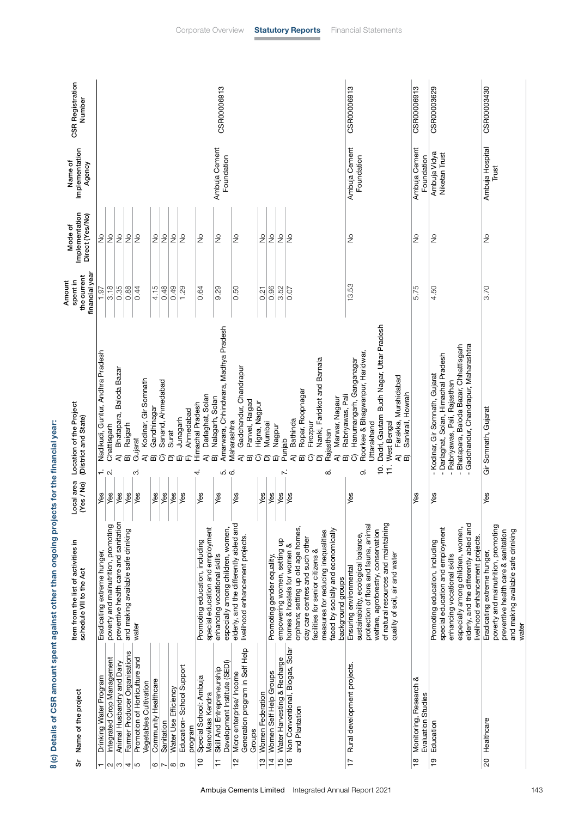| <b>CSR Registration</b><br>Number                                           |                                                            |                                      |                                        |                                    |                                    |                                               |                                |                               |                                  |                                |                |                                                        |                                  | CSR00006913                                                      |                                           |                                  |                                      |                                   |                            |                                               |                                    |                                    |                                 |                                  |                                    |                                    |                       | CSR00006913                                   |                                      |                                       |                                               |                                                                        |                                                  | <b>CSR00006913</b> |                                              | CSR00003629                                          |                                                      |                             |                                       |                                                                            | CSR00003430                 |                                     |                                     |                                    |       |
|-----------------------------------------------------------------------------|------------------------------------------------------------|--------------------------------------|----------------------------------------|------------------------------------|------------------------------------|-----------------------------------------------|--------------------------------|-------------------------------|----------------------------------|--------------------------------|----------------|--------------------------------------------------------|----------------------------------|------------------------------------------------------------------|-------------------------------------------|----------------------------------|--------------------------------------|-----------------------------------|----------------------------|-----------------------------------------------|------------------------------------|------------------------------------|---------------------------------|----------------------------------|------------------------------------|------------------------------------|-----------------------|-----------------------------------------------|--------------------------------------|---------------------------------------|-----------------------------------------------|------------------------------------------------------------------------|--------------------------------------------------|--------------------|----------------------------------------------|------------------------------------------------------|------------------------------------------------------|-----------------------------|---------------------------------------|----------------------------------------------------------------------------|-----------------------------|-------------------------------------|-------------------------------------|------------------------------------|-------|
| Implementation<br>Name of<br>Agency                                         |                                                            |                                      |                                        |                                    |                                    |                                               |                                |                               |                                  |                                |                |                                                        |                                  | Ambuja Cement<br>Foundation                                      |                                           |                                  |                                      |                                   |                            |                                               |                                    |                                    |                                 |                                  |                                    |                                    |                       | Ambuja Cement                                 | Foundation                           |                                       |                                               |                                                                        |                                                  | Ambuja Cement      | Foundation                                   | Ambuja Vidya                                         | Niketan Trust                                        |                             |                                       |                                                                            | Ambuja Hospital             | Trust                               |                                     |                                    |       |
| Implementation<br>Direct (Yes/No)<br>Mode of                                | $\frac{1}{2}$                                              | $\frac{1}{2}$                        | $\frac{1}{2}$                          | $\frac{1}{2}$                      | $\frac{1}{2}$                      |                                               | ş                              | $\frac{1}{2}$                 | $\frac{1}{2}$                    | $\frac{1}{2}$                  |                | $\frac{1}{2}$                                          |                                  | $\frac{1}{2}$                                                    | $\frac{1}{2}$                             |                                  |                                      | $\frac{1}{2}$                     | $\frac{1}{2}$              | $\frac{1}{2}$                                 | $\frac{1}{2}$                      |                                    |                                 |                                  |                                    |                                    |                       | $\frac{1}{2}$                                 |                                      |                                       |                                               |                                                                        |                                                  |                    | ž                                            | $\frac{1}{2}$                                        |                                                      |                             |                                       |                                                                            | ş                           |                                     |                                     |                                    |       |
| financial year<br>the current<br>Amount<br>spent in                         | 1.97                                                       | 3.18                                 | 0.35                                   | 0.88                               | 0.44                               |                                               | 4.15                           | 0.48                          | 0.49                             | 1.29                           |                | 0.64                                                   |                                  | 9.29                                                             | 0.50                                      |                                  |                                      | 0.21                              | 0.96                       | 3.52                                          | 0.07                               |                                    |                                 |                                  |                                    |                                    |                       | 13.53                                         |                                      |                                       |                                               |                                                                        |                                                  | 5.75               |                                              | 4.50                                                 |                                                      |                             |                                       |                                                                            | 3.70                        |                                     |                                     |                                    |       |
| Location of the Project<br>(District and State)<br>Local area<br>(Yes / No) | Nadikudi, Guntur, Andhra Pradesh<br>$\div$ $\alpha$<br>Yes | Chattisgarh<br>Yes                   | Baloda Bazar<br>Bhatapara,<br>₹<br>Yes | Raigarh<br>靣<br>Yes                | Gujarat<br>က<br>Yes                | Kodinar, Gir Somnath<br>Gandhinagar<br>ব<br>മ | Yes                            | Sanand, Ahmedabad<br>σ<br>Yes | Surat<br>6<br>Yes                | Junagarh<br>冚<br>Yes           | Ahmedabad<br>企 | Darlaghat, Solan<br>Himachal Pradesh<br>₹<br>4.<br>Yes | Nalagarh, Solan<br>靣             | Amarwara, Chhindwara, Madhya Pradesh<br>ம் ம்<br>Yes             | Maharashtra<br>Yes                        | Gadchandur, Chandrapur<br>₹<br>മ | Panvel, Raigad<br>Higna, Nagpur<br>σ | Mumbai<br>Ⴃ<br>Yes                | Nagpur<br>◫<br>Yes         | Punjab<br><sup>1</sup><br>$\bar{Y}$ es        | Bathinda<br>₹<br>Yes               | Ropar, Roopnagar<br>面              | Firozpur<br>ؘۯ                  | Nanki, Faridkot and Barnala<br>6 | Rajasthan<br>ထံ                    | Marwar, Nagaur<br>₹                | Rabriyawas, Pali<br>മ | Hanumangarh, Ganganagar<br>σ<br>Yes           | Roorkee & Bhagwanpur, Haridwar,<br>တ | Uttarakhand                           | Dadri, Gautam Budh Nagar, Uttar Pradesh<br>ö. | West Bengal<br>$\ddot{r}$                                              | Farakka, Murshidabad<br>Sankrail, Howrah<br>ବି କ | Yes                |                                              | Kodinar, Gir Somnath, Gujarat<br>$\mathbf{I}$<br>Yes | Darlaghat, Solan, Himachal Pradesh<br>$\overline{1}$ | Rabriyawas, Pali, Rajasthan | Bhatapara, Baloda Bazar, Chhattisgarh | Gadchandur, Chandrapur, Maharashtra                                        | Gir Somnath, Gujarat<br>Yes |                                     |                                     |                                    |       |
| Item from the list of activities in<br>schedule VII to the Act              | Eradicating extreme hunger,                                | poverty and malnutrition, promoting  | preventive health care and sanitation  | and making available safe drinking | water                              |                                               |                                |                               |                                  |                                |                | Promoting education, including                         | special education and employment | especially among children, women,<br>enhancing vocational skills | elderly, and the differently abled and    | livelihood enhancement projects. |                                      |                                   | Promoting gender equality, | empowering women, setting up                  | homes & hostels for women &        | orphans; setting up old age homes, | day care centres and such other | facilities for senior citizens & | measures for reducing inequalities | faced by socially and economically | background groups     | Ensuring environmental                        | sustainability, ecological balance,  | protection of flora and fauna, animal | welfare, agroforestry, conservation           | of natural resources and maintaining<br>quality of soil, air and water |                                                  |                    |                                              | Promoting education, including                       | special education and employment                     | enhancing vocational skills | especially among children, women,     | elderly, and the differently abled and<br>livelihood enhancement projects. | Eradicating extreme hunger, | poverty and malnutrition, promoting | preventive health care & sanitation | and making available safe drinking | water |
| Name of the project<br>တ်                                                   | Drinking Water Program                                     | Integrated Crop Management<br>$\sim$ | Animal Husbandry and Dairy<br>ო        | Farmer Producer Organisations<br>4 | Promotion of Horticulture and<br>Б | Vegetables Cultivation                        | Community Healthcare<br>$\sim$ | Sanitation                    | Water Use Efficiency<br>$\infty$ | Education-School Support<br>စာ | program        | Special School: Ambuja<br>$\frac{1}{2}$                | Manovikas Kendra                 | Development Institute (SEDI)<br>Skill And Entrepreneurship<br>H  | Micro enterprise/ Income<br>$\frac{1}{2}$ | Generation program in Self Help  | Groups                               | Women Federation<br>$\frac{1}{2}$ | 14 Women Self Help Groups  | Water Harvesting & Recharge<br>$\frac{15}{2}$ | 16 Non Conventional, Biogas, Solar | and Plantation                     |                                 |                                  |                                    |                                    |                       | Rural development projects.<br>$\overline{1}$ |                                      |                                       |                                               |                                                                        |                                                  | $\frac{8}{1}$      | Monitoring, Research &<br>Evaluation Studies | Education<br>$\frac{1}{2}$                           |                                                      |                             |                                       |                                                                            | Healthcare<br>20            |                                     |                                     |                                    |       |

8 (c) Details of CSR amount spent against other than ongoing projects for the financial year: **8** (c) Details of CSR amount spent against other than ongoing projects for the financial year: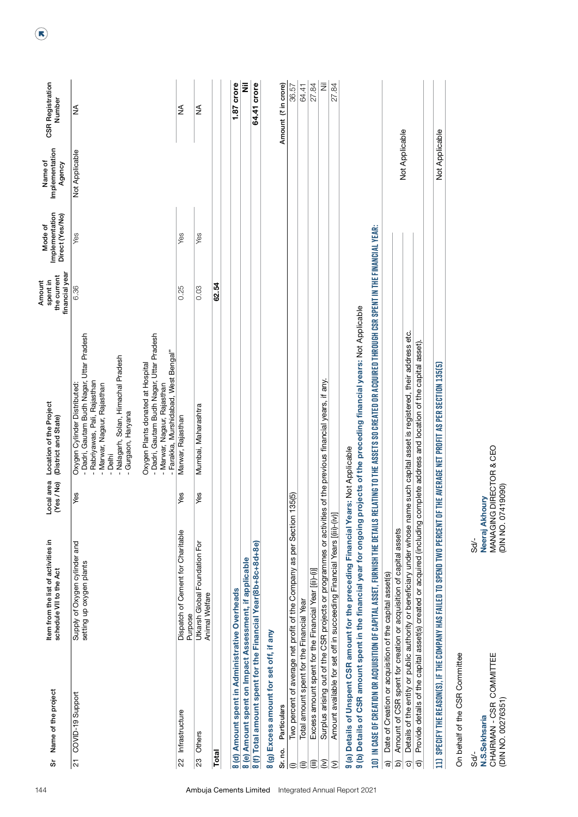| Name of the project<br>တ်                                             | Item from the list of activities in<br>schedule VII to the Act                                               | Local area<br>(Yes / No)                      | Location of the Project<br>(District and State)                                                                                                                                                                                                               | financial year<br>the current<br>Amount<br>spent in | Implementation<br>Direct (Yes/No)<br>Mode of | Implementation<br>Name of<br>Agency | <b>CSR Registration</b><br>Number |
|-----------------------------------------------------------------------|--------------------------------------------------------------------------------------------------------------|-----------------------------------------------|---------------------------------------------------------------------------------------------------------------------------------------------------------------------------------------------------------------------------------------------------------------|-----------------------------------------------------|----------------------------------------------|-------------------------------------|-----------------------------------|
| 21 COVID-19 Support                                                   | Supply of Oxygen cylinder and<br>setting up oxygen plants                                                    | Yes                                           | - Dadri, Gautam Budh Nagar, Uttar Pradesh<br>- Nalagarh, Solan, Himachal Pradesh<br>Oxygen Plants donated at Hospital<br>- Rabriyawas, Pali, Rajasthan<br>- Marwar, Nagaur, Rajasthan<br>Oxygen Cylinder Distributed:<br>- Gurgaon, Haryana<br>- Delhi        | 6.36                                                | Yes                                          | Not Applicable                      | ≨                                 |
|                                                                       |                                                                                                              |                                               | - Dadri, Gautam Budh Nagar, Uttar Pradesh<br>- Farakka, Murshidabad, West Bengal"<br>- Marwar, Nagaur, Rajasthan                                                                                                                                              |                                                     |                                              |                                     |                                   |
| Infrastructure<br>$\overline{2}$                                      | Dispatch of Cement for Charitable<br>Purpose                                                                 | Yes                                           | Marwar, Rajasthan                                                                                                                                                                                                                                             | 0.25                                                | Yes                                          |                                     | ≸                                 |
| Others<br>23                                                          | Utkarsh Global Foundation For<br><b>Animal Welfare</b>                                                       | Yes                                           | Mumbai, Maharashtra                                                                                                                                                                                                                                           | 0.03                                                | Yes                                          |                                     | ₹                                 |
| Total                                                                 |                                                                                                              |                                               |                                                                                                                                                                                                                                                               | 62.54                                               |                                              |                                     |                                   |
| 8 (d) Amount spent in Administrative Overheads                        |                                                                                                              |                                               |                                                                                                                                                                                                                                                               |                                                     |                                              |                                     | 1.87 crore                        |
| 8 (e) Amount spent on Impact Assessment, if applicable                |                                                                                                              |                                               |                                                                                                                                                                                                                                                               |                                                     |                                              |                                     | ž                                 |
| 8 (f) Total amount spent for the Financial Year(8b+8c+8d+8e)          |                                                                                                              |                                               |                                                                                                                                                                                                                                                               |                                                     |                                              |                                     | 64.41 crore                       |
| 8 (g) Excess amount for set off, if any<br>Particulars<br>Sr. no.     |                                                                                                              |                                               |                                                                                                                                                                                                                                                               |                                                     |                                              |                                     | Amount (₹ in crore)               |
| ⊜                                                                     | Two percent of average net profit of the Company as per Section                                              | 135(5)                                        |                                                                                                                                                                                                                                                               |                                                     |                                              |                                     | 36.57                             |
| Total amount spent for the Financial Year<br>$\widehat{\equiv}$       |                                                                                                              |                                               |                                                                                                                                                                                                                                                               |                                                     |                                              |                                     | 64.41                             |
| Excess amount spent for the Financial Year [(ii)-(i)]<br>(iii)        |                                                                                                              |                                               |                                                                                                                                                                                                                                                               |                                                     |                                              |                                     | 27.84                             |
| $\widehat{\boldsymbol{\Sigma}}$                                       | Surplus arising out of the CSR projects or programmes or activities of the previous financial years, if any. |                                               |                                                                                                                                                                                                                                                               |                                                     |                                              |                                     | $\bar{z}$                         |
| $\mathfrak{D}$                                                        | Amount available for set off in succeeding Financial Years [(iii)-(iv)]                                      |                                               |                                                                                                                                                                                                                                                               |                                                     |                                              |                                     | 27.84                             |
|                                                                       | 9 (a) Details of Unspent CSR amount for the preceding Financial Years: Not Applicable                        |                                               | 9 (b) Details of CSR amount spent in the financial year for ongoing projects of the preceding financial years: Not Applicable                                                                                                                                 |                                                     |                                              |                                     |                                   |
|                                                                       |                                                                                                              |                                               | 10) IN CASE OF CREATION OR ACQUISITION OF CAPITAL ASSET, FURNISH THE DETAILS RELATING TO THE ASSETS SO CREATED OR ACQUIRED THROUGH CSR SPENT IN THE FINANCIAL YEAR:                                                                                           |                                                     |                                              |                                     |                                   |
| Date of Creation or acquisition of the capital asset(s)<br>ଟି         |                                                                                                              |                                               |                                                                                                                                                                                                                                                               |                                                     |                                              |                                     |                                   |
| $\widehat{\mathbf{p}}$                                                | Amount of CSR spent for creation or acquisition of capital assets                                            |                                               |                                                                                                                                                                                                                                                               |                                                     |                                              | Not Applicable                      |                                   |
| $\widehat{\circ}$<br>$\widehat{\sigma}$                               |                                                                                                              |                                               | Details of the entity or public authority or beneficiary under whose name such capital asset is registered, their address etc.<br>Provide details of the capital asset(s) created or acquired (including complete address and location of the capital asset). |                                                     |                                              |                                     |                                   |
|                                                                       | 11) SPECIFY THE REASON(S), IF THE COMPANY HAS FAILED TO SPEND TWO PERCENT OF                                 |                                               | THE AVERAGE NET PROFIT AS PER SECTION 135(5)                                                                                                                                                                                                                  |                                                     |                                              | Not Applicable                      |                                   |
| On behalf of the CSR Committee                                        |                                                                                                              |                                               |                                                                                                                                                                                                                                                               |                                                     |                                              |                                     |                                   |
| CHAIRMAN-CSR COMMITTEE<br>(DIN NO. 00276351)<br>N.S.Sekhsaria<br>sd∕- | Neeraj Akhoury<br>ಕ್ಕೆ                                                                                       | MANAGING DIRECTOR & CEO<br>(DIN NO. 07419090) |                                                                                                                                                                                                                                                               |                                                     |                                              |                                     |                                   |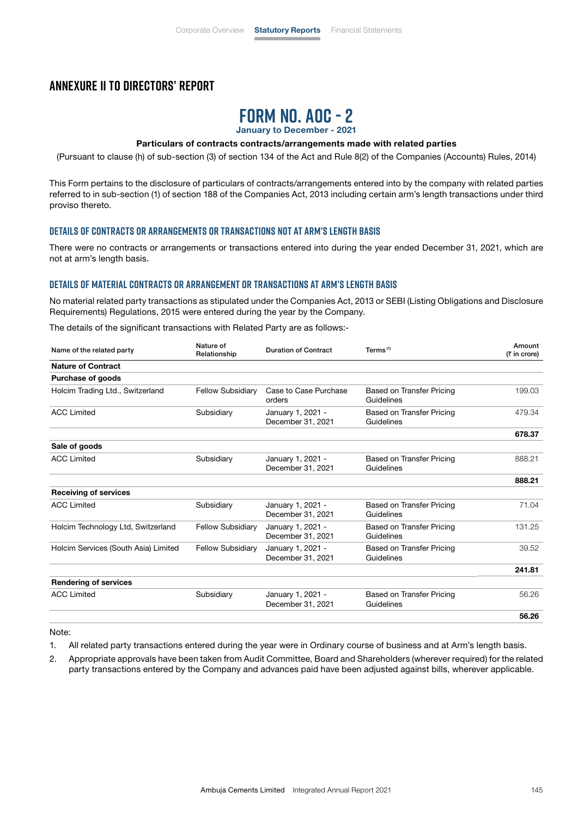## **Annexure II to Directors' Report**



January to December - 2021

#### Particulars of contracts contracts/arrangements made with related parties

(Pursuant to clause (h) of sub-section (3) of section 134 of the Act and Rule 8(2) of the Companies (Accounts) Rules, 2014)

This Form pertains to the disclosure of particulars of contracts/arrangements entered into by the company with related parties referred to in sub-section (1) of section 188 of the Companies Act, 2013 including certain arm's length transactions under third proviso thereto.

#### **Details of contracts or arrangements or transactions not at arm's length basis**

There were no contracts or arrangements or transactions entered into during the year ended December 31, 2021, which are not at arm's length basis.

#### **Details of material contracts or arrangement or transactions at arm's length basis**

No material related party transactions as stipulated under the Companies Act, 2013 or SEBI (Listing Obligations and Disclosure Requirements) Regulations, 2015 were entered during the year by the Company.

The details of the significant transactions with Related Party are as follows:-

| Name of the related party            | Nature of<br>Relationship | <b>Duration of Contract</b>            | Terms $(1)$                             | Amount<br>(₹ in crore) |
|--------------------------------------|---------------------------|----------------------------------------|-----------------------------------------|------------------------|
| <b>Nature of Contract</b>            |                           |                                        |                                         |                        |
| <b>Purchase of goods</b>             |                           |                                        |                                         |                        |
| Holcim Trading Ltd., Switzerland     | <b>Fellow Subsidiary</b>  | Case to Case Purchase<br>orders        | Based on Transfer Pricing<br>Guidelines | 199.03                 |
| <b>ACC Limited</b>                   | Subsidiary                | January 1, 2021 -<br>December 31, 2021 | Based on Transfer Pricing<br>Guidelines | 479.34                 |
|                                      |                           |                                        |                                         | 678.37                 |
| Sale of goods                        |                           |                                        |                                         |                        |
| <b>ACC Limited</b>                   | Subsidiary                | January 1, 2021 -<br>December 31, 2021 | Based on Transfer Pricing<br>Guidelines | 888.21                 |
|                                      |                           |                                        |                                         | 888.21                 |
| <b>Receiving of services</b>         |                           |                                        |                                         |                        |
| <b>ACC Limited</b>                   | Subsidiary                | January 1, 2021 -<br>December 31, 2021 | Based on Transfer Pricing<br>Guidelines | 71.04                  |
| Holcim Technology Ltd, Switzerland   | <b>Fellow Subsidiary</b>  | January 1, 2021 -<br>December 31, 2021 | Based on Transfer Pricing<br>Guidelines | 131.25                 |
| Holcim Services (South Asia) Limited | <b>Fellow Subsidiary</b>  | January 1, 2021 -<br>December 31, 2021 | Based on Transfer Pricing<br>Guidelines | 39.52                  |
|                                      |                           |                                        |                                         | 241.81                 |
| <b>Rendering of services</b>         |                           |                                        |                                         |                        |
| <b>ACC Limited</b>                   | Subsidiary                | January 1, 2021 -<br>December 31, 2021 | Based on Transfer Pricing<br>Guidelines | 56.26                  |
|                                      |                           |                                        |                                         | 56.26                  |

Note:

1. All related party transactions entered during the year were in Ordinary course of business and at Arm's length basis.

2. Appropriate approvals have been taken from Audit Committee, Board and Shareholders (wherever required) for the related party transactions entered by the Company and advances paid have been adjusted against bills, wherever applicable.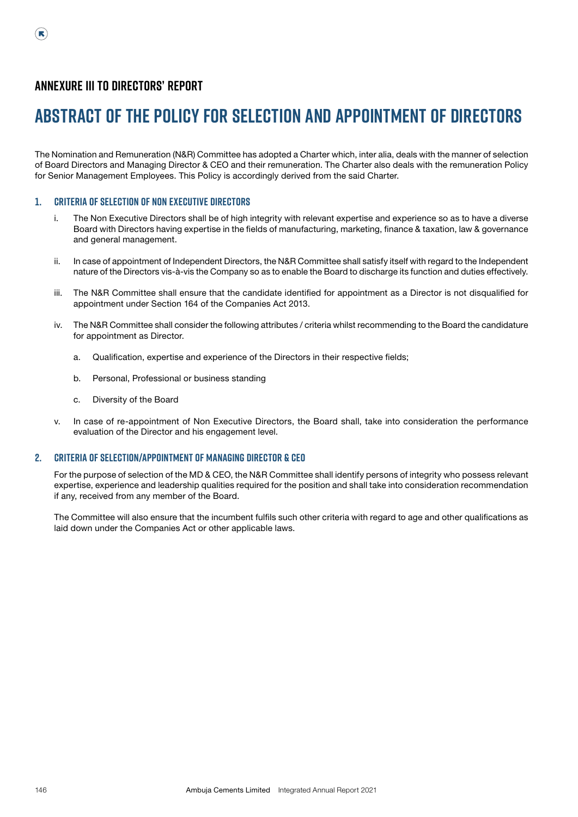# **Annexure III to Directors' Report**

# **Abstract of the Policy for selection and appointment of Directors**

The Nomination and Remuneration (N&R) Committee has adopted a Charter which, inter alia, deals with the manner of selection of Board Directors and Managing Director & CEO and their remuneration. The Charter also deals with the remuneration Policy for Senior Management Employees. This Policy is accordingly derived from the said Charter.

#### **1. Criteria of selection of Non Executive Directors**

- i. The Non Executive Directors shall be of high integrity with relevant expertise and experience so as to have a diverse Board with Directors having expertise in the fields of manufacturing, marketing, finance & taxation, law & governance and general management.
- ii. In case of appointment of Independent Directors, the N&R Committee shall satisfy itself with regard to the Independent nature of the Directors vis-à-vis the Company so as to enable the Board to discharge its function and duties effectively.
- iii. The N&R Committee shall ensure that the candidate identified for appointment as a Director is not disqualified for appointment under Section 164 of the Companies Act 2013.
- iv. The N&R Committee shall consider the following attributes / criteria whilst recommending to the Board the candidature for appointment as Director.
	- a. Qualification, expertise and experience of the Directors in their respective fields;
	- b. Personal, Professional or business standing
	- c. Diversity of the Board
- v. In case of re-appointment of Non Executive Directors, the Board shall, take into consideration the performance evaluation of the Director and his engagement level.

#### **2. Criteria of selection/appointment of Managing Director & CEO**

 For the purpose of selection of the MD & CEO, the N&R Committee shall identify persons of integrity who possess relevant expertise, experience and leadership qualities required for the position and shall take into consideration recommendation if any, received from any member of the Board.

 The Committee will also ensure that the incumbent fulfils such other criteria with regard to age and other qualifications as laid down under the Companies Act or other applicable laws.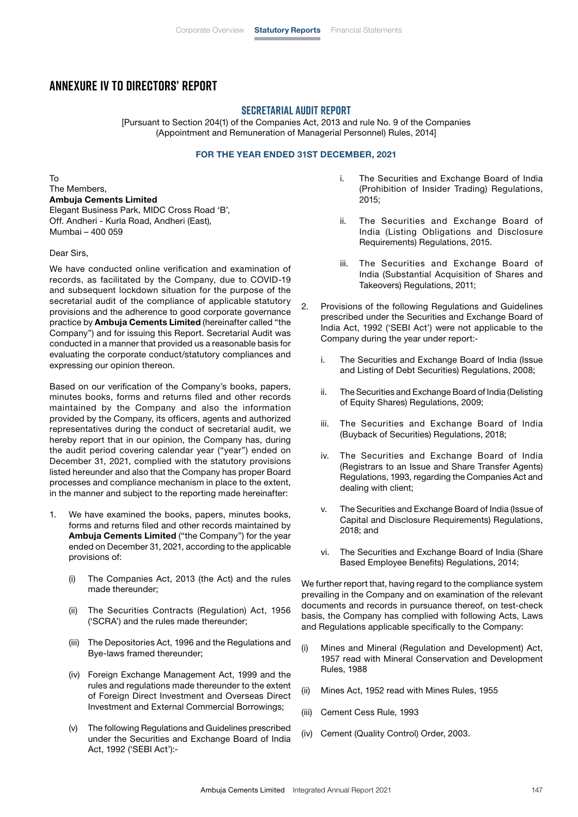## **Annexure IV to Directors' Report**

#### **SECRETARIAL AUDIT REPORT**

[Pursuant to Section 204(1) of the Companies Act, 2013 and rule No. 9 of the Companies (Appointment and Remuneration of Managerial Personnel) Rules, 2014]

#### FOR THE YEAR ENDED 31ST DECEMBER, 2021

To The Members, Ambuja Cements Limited Elegant Business Park, MIDC Cross Road 'B', Off. Andheri - Kurla Road, Andheri (East), Mumbai – 400 059

Dear Sirs,

We have conducted online verification and examination of records, as facilitated by the Company, due to COVID-19 and subsequent lockdown situation for the purpose of the secretarial audit of the compliance of applicable statutory provisions and the adherence to good corporate governance practice by Ambuja Cements Limited (hereinafter called "the Company") and for issuing this Report. Secretarial Audit was conducted in a manner that provided us a reasonable basis for evaluating the corporate conduct/statutory compliances and expressing our opinion thereon.

Based on our verification of the Company's books, papers, minutes books, forms and returns filed and other records maintained by the Company and also the information provided by the Company, its officers, agents and authorized representatives during the conduct of secretarial audit, we hereby report that in our opinion, the Company has, during the audit period covering calendar year ("year") ended on December 31, 2021, complied with the statutory provisions listed hereunder and also that the Company has proper Board processes and compliance mechanism in place to the extent, in the manner and subject to the reporting made hereinafter:

- 1. We have examined the books, papers, minutes books, forms and returns filed and other records maintained by Ambuja Cements Limited ("the Company") for the year ended on December 31, 2021, according to the applicable provisions of:
	- (i) The Companies Act, 2013 (the Act) and the rules made thereunder;
	- (ii) The Securities Contracts (Regulation) Act, 1956 ('SCRA') and the rules made thereunder;
	- (iii) The Depositories Act, 1996 and the Regulations and Bye-laws framed thereunder;
	- (iv) Foreign Exchange Management Act, 1999 and the rules and regulations made thereunder to the extent of Foreign Direct Investment and Overseas Direct Investment and External Commercial Borrowings;
	- (v) The following Regulations and Guidelines prescribed under the Securities and Exchange Board of India Act, 1992 ('SEBI Act'):-
- i. The Securities and Exchange Board of India (Prohibition of Insider Trading) Regulations, 2015;
- ii. The Securities and Exchange Board of India (Listing Obligations and Disclosure Requirements) Regulations, 2015.
- iii. The Securities and Exchange Board of India (Substantial Acquisition of Shares and Takeovers) Regulations, 2011;
- 2. Provisions of the following Regulations and Guidelines prescribed under the Securities and Exchange Board of India Act, 1992 ('SEBI Act') were not applicable to the Company during the year under report:
	- i. The Securities and Exchange Board of India (Issue and Listing of Debt Securities) Regulations, 2008;
	- ii. The Securities and Exchange Board of India (Delisting of Equity Shares) Regulations, 2009;
	- iii. The Securities and Exchange Board of India (Buyback of Securities) Regulations, 2018;
	- iv. The Securities and Exchange Board of India (Registrars to an Issue and Share Transfer Agents) Regulations, 1993, regarding the Companies Act and dealing with client;
	- v. The Securities and Exchange Board of India (Issue of Capital and Disclosure Requirements) Regulations, 2018; and
	- vi. The Securities and Exchange Board of India (Share Based Employee Benefits) Regulations, 2014;

We further report that, having regard to the compliance system prevailing in the Company and on examination of the relevant documents and records in pursuance thereof, on test-check basis, the Company has complied with following Acts, Laws and Regulations applicable specifically to the Company:

- (i) Mines and Mineral (Regulation and Development) Act, 1957 read with Mineral Conservation and Development Rules, 1988
- (ii) Mines Act, 1952 read with Mines Rules, 1955
- (iii) Cement Cess Rule, 1993
- (iv) Cement (Quality Control) Order, 2003.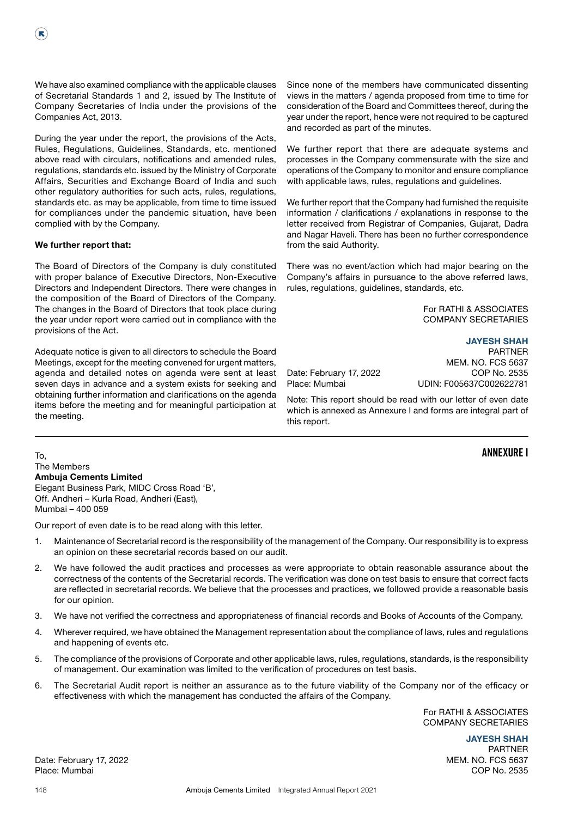We have also examined compliance with the applicable clauses of Secretarial Standards 1 and 2, issued by The Institute of Company Secretaries of India under the provisions of the Companies Act, 2013.

During the year under the report, the provisions of the Acts, Rules, Regulations, Guidelines, Standards, etc. mentioned above read with circulars, notifications and amended rules, regulations, standards etc. issued by the Ministry of Corporate Affairs, Securities and Exchange Board of India and such other regulatory authorities for such acts, rules, regulations, standards etc. as may be applicable, from time to time issued for compliances under the pandemic situation, have been complied with by the Company.

#### We further report that:

The Board of Directors of the Company is duly constituted with proper balance of Executive Directors, Non-Executive Directors and Independent Directors. There were changes in the composition of the Board of Directors of the Company. The changes in the Board of Directors that took place during the year under report were carried out in compliance with the provisions of the Act.

Adequate notice is given to all directors to schedule the Board Meetings, except for the meeting convened for urgent matters, agenda and detailed notes on agenda were sent at least seven days in advance and a system exists for seeking and obtaining further information and clarifications on the agenda items before the meeting and for meaningful participation at the meeting.

Since none of the members have communicated dissenting views in the matters / agenda proposed from time to time for consideration of the Board and Committees thereof, during the year under the report, hence were not required to be captured and recorded as part of the minutes.

We further report that there are adequate systems and processes in the Company commensurate with the size and operations of the Company to monitor and ensure compliance with applicable laws, rules, regulations and guidelines.

We further report that the Company had furnished the requisite information / clarifications / explanations in response to the letter received from Registrar of Companies, Gujarat, Dadra and Nagar Haveli. There has been no further correspondence from the said Authority.

There was no event/action which had major bearing on the Company's affairs in pursuance to the above referred laws, rules, regulations, guidelines, standards, etc.

> For RATHI & ASSOCIATES COMPANY SECRETARIES

### JAYESH SHAH

PARTNER MEM. NO. FCS 5637 Date: February 17, 2022 COP No. 2535 Place: Mumbai UDIN: F005637C002622781

Note: This report should be read with our letter of even date which is annexed as Annexure I and forms are integral part of this report.

### **Annexure I**

To, The Members Ambuja Cements Limited Elegant Business Park, MIDC Cross Road 'B', Off. Andheri – Kurla Road, Andheri (East), Mumbai – 400 059

Our report of even date is to be read along with this letter.

- 1. Maintenance of Secretarial record is the responsibility of the management of the Company. Our responsibility is to express an opinion on these secretarial records based on our audit.
- 2. We have followed the audit practices and processes as were appropriate to obtain reasonable assurance about the correctness of the contents of the Secretarial records. The verification was done on test basis to ensure that correct facts are reflected in secretarial records. We believe that the processes and practices, we followed provide a reasonable basis for our opinion.
- 3. We have not verified the correctness and appropriateness of financial records and Books of Accounts of the Company.
- 4. Wherever required, we have obtained the Management representation about the compliance of laws, rules and regulations and happening of events etc.
- 5. The compliance of the provisions of Corporate and other applicable laws, rules, regulations, standards, is the responsibility of management. Our examination was limited to the verification of procedures on test basis.
- 6. The Secretarial Audit report is neither an assurance as to the future viability of the Company nor of the efficacy or effectiveness with which the management has conducted the affairs of the Company.

For RATHI & ASSOCIATES COMPANY SECRETARIES

> JAYESH SHAH PARTNER

Date: February 17, 2022 2008 and the contract of the contract of the contract of the MEM. NO. FCS 5637 Place: Mumbai COP No. 2535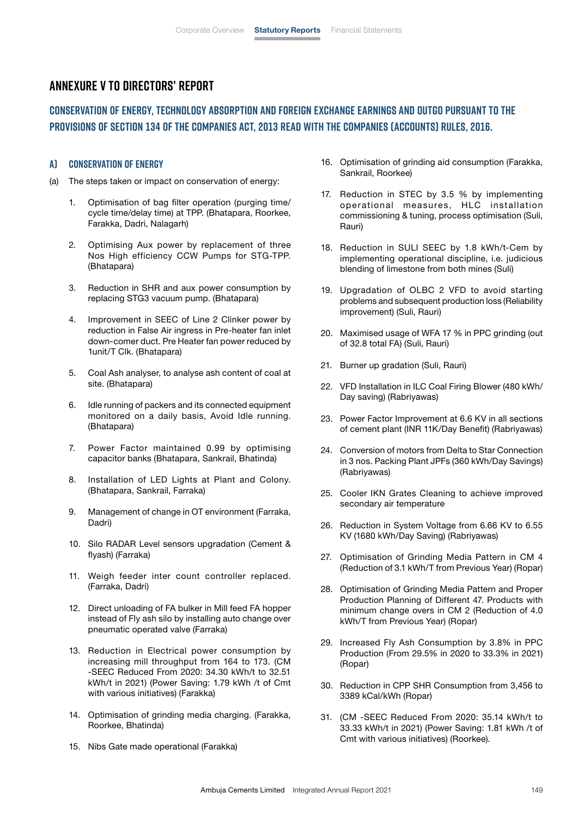# **Annexure V to Directors' Report**

# **Conservation of Energy, Technology Absorption And Foreign Exchange Earnings And Outgo Pursuant to the provisions of Section 134 of the Companies Act, 2013 read with the Companies (Accounts) Rules, 2016.**

#### **A) Conservation of Energy**

- (a) The steps taken or impact on conservation of energy:
	- 1. Optimisation of bag filter operation (purging time/ cycle time/delay time) at TPP. (Bhatapara, Roorkee, Farakka, Dadri, Nalagarh)
	- 2. Optimising Aux power by replacement of three Nos High efficiency CCW Pumps for STG-TPP. (Bhatapara)
	- 3. Reduction in SHR and aux power consumption by replacing STG3 vacuum pump. (Bhatapara)
	- 4. Improvement in SEEC of Line 2 Clinker power by reduction in False Air ingress in Pre-heater fan inlet down-comer duct. Pre Heater fan power reduced by 1unit/T Clk. (Bhatapara)
	- 5. Coal Ash analyser, to analyse ash content of coal at site. (Bhatapara)
	- 6. Idle running of packers and its connected equipment monitored on a daily basis, Avoid Idle running. (Bhatapara)
	- 7. Power Factor maintained 0.99 by optimising capacitor banks (Bhatapara, Sankrail, Bhatinda)
	- 8. Installation of LED Lights at Plant and Colony. (Bhatapara, Sankrail, Farraka)
	- 9. Management of change in OT environment (Farraka, Dadri)
	- 10. Silo RADAR Level sensors upgradation (Cement & flyash) (Farraka)
	- 11. Weigh feeder inter count controller replaced. (Farraka, Dadri)
	- 12. Direct unloading of FA bulker in Mill feed FA hopper instead of Fly ash silo by installing auto change over pneumatic operated valve (Farraka)
	- 13. Reduction in Electrical power consumption by increasing mill throughput from 164 to 173. (CM -SEEC Reduced From 2020: 34.30 kWh/t to 32.51 kWh/t in 2021) (Power Saving: 1.79 kWh /t of Cmt with various initiatives) (Farakka)
	- 14. Optimisation of grinding media charging. (Farakka, Roorkee, Bhatinda)
	- 15. Nibs Gate made operational (Farakka)
- 16. Optimisation of grinding aid consumption (Farakka, Sankrail, Roorkee)
- 17. Reduction in STEC by 3.5 % by implementing operational measures, HLC installation commissioning & tuning, process optimisation (Suli, Rauri)
- 18. Reduction in SULI SEEC by 1.8 kWh/t-Cem by implementing operational discipline, i.e. judicious blending of limestone from both mines (Suli)
- 19. Upgradation of OLBC 2 VFD to avoid starting problems and subsequent production loss (Reliability improvement) (Suli, Rauri)
- 20. Maximised usage of WFA 17 % in PPC grinding (out of 32.8 total FA) (Suli, Rauri)
- 21. Burner up gradation (Suli, Rauri)
- 22. VFD Installation in ILC Coal Firing Blower (480 kWh/ Day saving) (Rabriyawas)
- 23. Power Factor Improvement at 6.6 KV in all sections of cement plant (INR 11K/Day Benefit) (Rabriyawas)
- 24. Conversion of motors from Delta to Star Connection in 3 nos. Packing Plant JPFs (360 kWh/Day Savings) (Rabriyawas)
- 25. Cooler IKN Grates Cleaning to achieve improved secondary air temperature
- 26. Reduction in System Voltage from 6.66 KV to 6.55 KV (1680 kWh/Day Saving) (Rabriyawas)
- 27. Optimisation of Grinding Media Pattern in CM 4 (Reduction of 3.1 kWh/T from Previous Year) (Ropar)
- 28. Optimisation of Grinding Media Pattern and Proper Production Planning of Different 47. Products with minimum change overs in CM 2 (Reduction of 4.0 kWh/T from Previous Year) (Ropar)
- 29. Increased Fly Ash Consumption by 3.8% in PPC Production (From 29.5% in 2020 to 33.3% in 2021) (Ropar)
- 30. Reduction in CPP SHR Consumption from 3,456 to 3389 kCal/kWh (Ropar)
- 31. (CM -SEEC Reduced From 2020: 35.14 kWh/t to 33.33 kWh/t in 2021) (Power Saving: 1.81 kWh /t of Cmt with various initiatives) (Roorkee).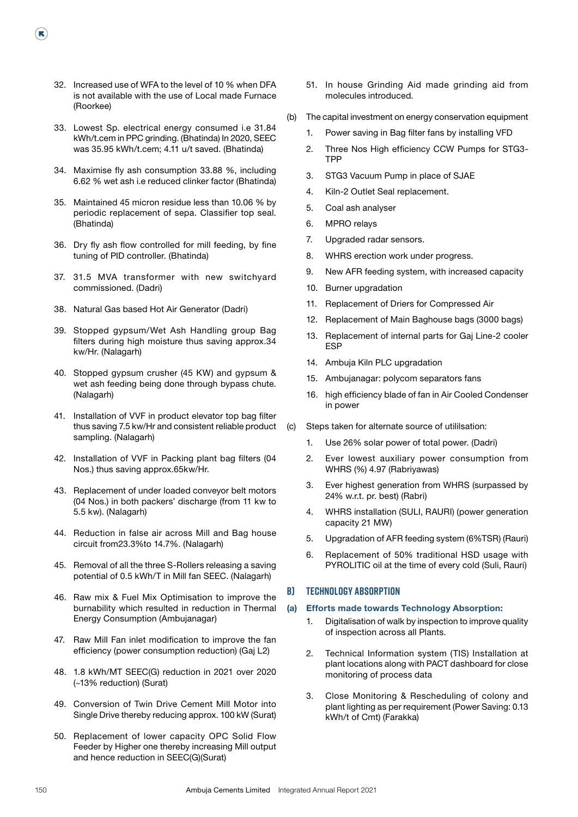32. Increased use of WFA to the level of 10 % when DFA is not available with the use of Local made Furnace (Roorkee)

 $(\mathbf{R})$ 

- 33. Lowest Sp. electrical energy consumed i.e 31.84 kWh/t.cem in PPC grinding. (Bhatinda) In 2020, SEEC was 35.95 kWh/t.cem; 4.11 u/t saved. (Bhatinda)
- 34. Maximise fly ash consumption 33.88 %, including 6.62 % wet ash i.e reduced clinker factor (Bhatinda)
- 35. Maintained 45 micron residue less than 10.06 % by periodic replacement of sepa. Classifier top seal. (Bhatinda)
- 36. Dry fly ash flow controlled for mill feeding, by fine tuning of PID controller. (Bhatinda)
- 37. 31.5 MVA transformer with new switchyard commissioned. (Dadri)
- 38. Natural Gas based Hot Air Generator (Dadri)
- 39. Stopped gypsum/Wet Ash Handling group Bag filters during high moisture thus saving approx.34 kw/Hr. (Nalagarh)
- 40. Stopped gypsum crusher (45 KW) and gypsum & wet ash feeding being done through bypass chute. (Nalagarh)
- 41. Installation of VVF in product elevator top bag filter thus saving 7.5 kw/Hr and consistent reliable product sampling. (Nalagarh)
- 42. Installation of VVF in Packing plant bag filters (04 Nos.) thus saving approx.65kw/Hr.
- 43. Replacement of under loaded conveyor belt motors (04 Nos.) in both packers' discharge (from 11 kw to 5.5 kw). (Nalagarh)
- 44. Reduction in false air across Mill and Bag house circuit from23.3%to 14.7%. (Nalagarh)
- 45. Removal of all the three S-Rollers releasing a saving potential of 0.5 kWh/T in Mill fan SEEC. (Nalagarh)
- 46. Raw mix & Fuel Mix Optimisation to improve the burnability which resulted in reduction in Thermal Energy Consumption (Ambujanagar)
- 47. Raw Mill Fan inlet modification to improve the fan efficiency (power consumption reduction) (Gaj L2)
- 48. 1.8 kWh/MT SEEC(G) reduction in 2021 over 2020 (~13% reduction) (Surat)
- 49. Conversion of Twin Drive Cement Mill Motor into Single Drive thereby reducing approx. 100 kW (Surat)
- 50. Replacement of lower capacity OPC Solid Flow Feeder by Higher one thereby increasing Mill output and hence reduction in SEEC(G)(Surat)
- 51. In house Grinding Aid made grinding aid from molecules introduced.
- (b) The capital investment on energy conservation equipment
	- 1. Power saving in Bag filter fans by installing VFD
	- 2. Three Nos High efficiency CCW Pumps for STG3- TPP
	- 3. STG3 Vacuum Pump in place of SJAE
	- 4. Kiln-2 Outlet Seal replacement.
	- 5. Coal ash analyser
	- 6. MPRO relays
	- 7. Upgraded radar sensors.
	- 8. WHRS erection work under progress.
	- 9. New AFR feeding system, with increased capacity
	- 10. Burner upgradation
	- 11. Replacement of Driers for Compressed Air
	- 12. Replacement of Main Baghouse bags (3000 bags)
	- 13. Replacement of internal parts for Gaj Line-2 cooler ESP
	- 14. Ambuja Kiln PLC upgradation
	- 15. Ambujanagar: polycom separators fans
	- 16. high efficiency blade of fan in Air Cooled Condenser in power
- (c) Steps taken for alternate source of utililsation:
	- 1. Use 26% solar power of total power. (Dadri)
	- 2. Ever lowest auxiliary power consumption from WHRS (%) 4.97 (Rabriyawas)
	- 3. Ever highest generation from WHRS (surpassed by 24% w.r.t. pr. best) (Rabri)
	- 4. WHRS installation (SULI, RAURI) (power generation capacity 21 MW)
	- 5. Upgradation of AFR feeding system (6%TSR) (Rauri)
	- 6. Replacement of 50% traditional HSD usage with PYROLITIC oil at the time of every cold (Suli, Rauri)

#### **B) Technology Absorption**

#### (a) Efforts made towards Technology Absorption:

- 1. Digitalisation of walk by inspection to improve quality of inspection across all Plants.
- 2. Technical Information system (TIS) Installation at plant locations along with PACT dashboard for close monitoring of process data
- 3. Close Monitoring & Rescheduling of colony and plant lighting as per requirement (Power Saving: 0.13 kWh/t of Cmt) (Farakka)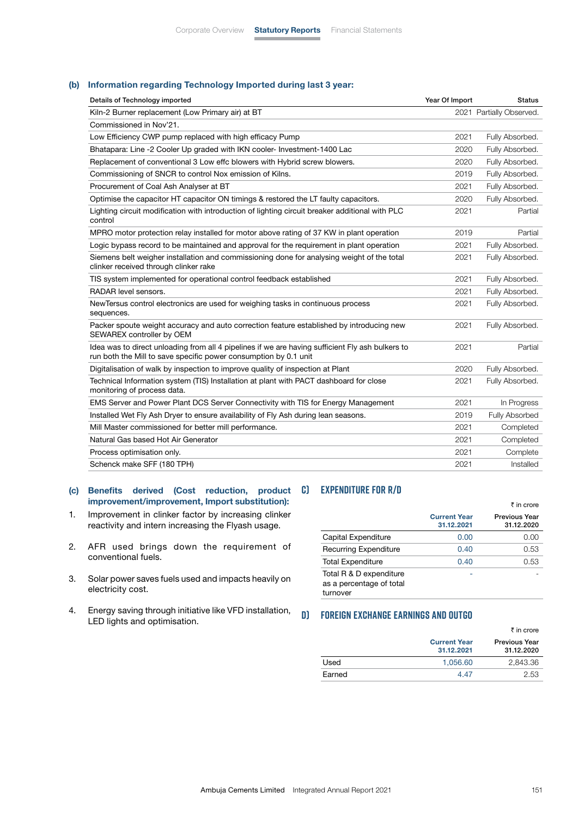#### (b) Information regarding Technology Imported during last 3 year:

| Details of Technology imported                                                                                                                                       | Year Of Import | <b>Status</b>            |
|----------------------------------------------------------------------------------------------------------------------------------------------------------------------|----------------|--------------------------|
| Kiln-2 Burner replacement (Low Primary air) at BT                                                                                                                    |                | 2021 Partially Observed. |
| Commissioned in Nov'21.                                                                                                                                              |                |                          |
| Low Efficiency CWP pump replaced with high efficacy Pump                                                                                                             | 2021           | Fully Absorbed.          |
| Bhatapara: Line -2 Cooler Up graded with IKN cooler- Investment-1400 Lac                                                                                             | 2020           | Fully Absorbed.          |
| Replacement of conventional 3 Low effc blowers with Hybrid screw blowers.                                                                                            | 2020           | Fully Absorbed.          |
| Commissioning of SNCR to control Nox emission of Kilns.                                                                                                              | 2019           | Fully Absorbed.          |
| Procurement of Coal Ash Analyser at BT                                                                                                                               | 2021           | Fully Absorbed.          |
| Optimise the capacitor HT capacitor ON timings & restored the LT faulty capacitors.                                                                                  | 2020           | Fully Absorbed.          |
| Lighting circuit modification with introduction of lighting circuit breaker additional with PLC<br>control                                                           | 2021           | Partial                  |
| MPRO motor protection relay installed for motor above rating of 37 KW in plant operation                                                                             | 2019           | Partial                  |
| Logic bypass record to be maintained and approval for the requirement in plant operation                                                                             | 2021           | Fully Absorbed.          |
| Siemens belt weigher installation and commissioning done for analysing weight of the total<br>clinker received through clinker rake                                  | 2021           | Fully Absorbed.          |
| TIS system implemented for operational control feedback established                                                                                                  | 2021           | Fully Absorbed.          |
| RADAR level sensors.                                                                                                                                                 | 2021           | Fully Absorbed.          |
| New Tersus control electronics are used for weighing tasks in continuous process<br>sequences.                                                                       | 2021           | Fully Absorbed.          |
| Packer spoute weight accuracy and auto correction feature established by introducing new<br>SEWAREX controller by OEM                                                | 2021           | Fully Absorbed.          |
| Idea was to direct unloading from all 4 pipelines if we are having sufficient Fly ash bulkers to<br>run both the Mill to save specific power consumption by 0.1 unit | 2021           | Partial                  |
| Digitalisation of walk by inspection to improve quality of inspection at Plant                                                                                       | 2020           | Fully Absorbed.          |
| Technical Information system (TIS) Installation at plant with PACT dashboard for close<br>monitoring of process data.                                                | 2021           | Fully Absorbed.          |
| EMS Server and Power Plant DCS Server Connectivity with TIS for Energy Management                                                                                    | 2021           | In Progress              |
| Installed Wet Fly Ash Dryer to ensure availability of Fly Ash during lean seasons.                                                                                   | 2019           | Fully Absorbed           |
| Mill Master commissioned for better mill performance.                                                                                                                | 2021           | Completed                |
| Natural Gas based Hot Air Generator                                                                                                                                  | 2021           | Completed                |
| Process optimisation only.                                                                                                                                           | 2021           | Complete                 |
| Schenck make SFF (180 TPH)                                                                                                                                           | 2021           | Installed                |
|                                                                                                                                                                      |                |                          |

#### (c) Benefits derived (Cost reduction, product **C) Expenditure for R/D**  improvement/improvement, Import substitution):

- 1. Improvement in clinker factor by increasing clinker reactivity and intern increasing the Flyash usage.
- 2. AFR used brings down the requirement of conventional fuels.
- 3. Solar power saves fuels used and impacts heavily on electricity cost.
- 4. Energy saving through initiative like VFD installation, LED lights and optimisation.

|                                                                 |                                   | ₹ in crore                         |
|-----------------------------------------------------------------|-----------------------------------|------------------------------------|
|                                                                 | <b>Current Year</b><br>31.12.2021 | <b>Previous Year</b><br>31.12.2020 |
| Capital Expenditure                                             | 0.00                              | 0.00                               |
| <b>Recurring Expenditure</b>                                    | 0.40                              | 0.53                               |
| <b>Total Expenditure</b>                                        | 0.40                              | 0.53                               |
| Total R & D expenditure<br>as a percentage of total<br>turnover |                                   |                                    |

#### **D) Foreign Exchange Earnings And Outgo**

|        |                                   | ₹ in crore                         |
|--------|-----------------------------------|------------------------------------|
|        | <b>Current Year</b><br>31.12.2021 | <b>Previous Year</b><br>31.12.2020 |
| Used   | 1.056.60                          | 2.843.36                           |
| Earned | 4 47                              | 2.53                               |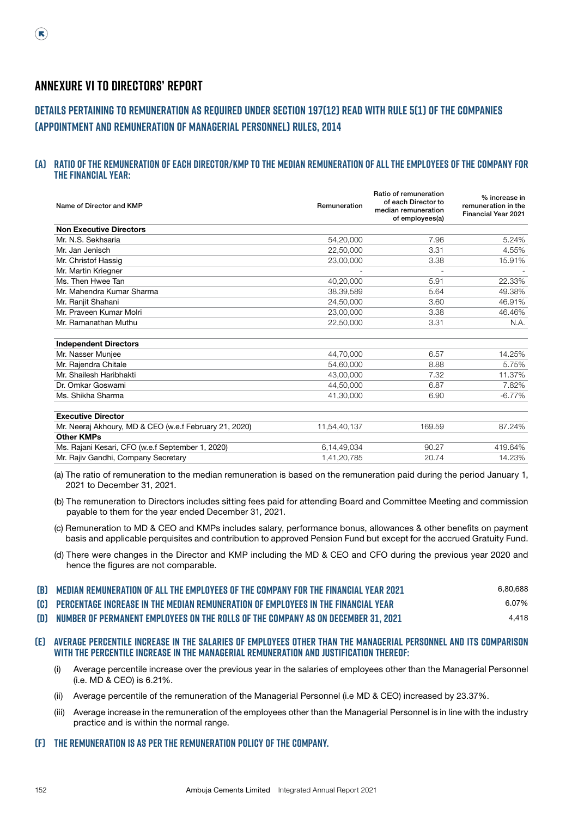# **Annexure VI to Directors' Report**

# **Details pertaining to remuneration as required under Section 197(12) read with Rule 5(1) of the Companies (Appointment and Remuneration of Managerial Personnel) Rules, 2014**

#### **(A) Ratio of the remuneration of each Director/KMP to the median remuneration of all the employees of the Company for the financial year:**

| Name of Director and KMP                               | Remuneration | Ratio of remuneration<br>of each Director to<br>median remuneration<br>of employees(a) | % increase in<br>remuneration in the<br><b>Financial Year 2021</b> |
|--------------------------------------------------------|--------------|----------------------------------------------------------------------------------------|--------------------------------------------------------------------|
| <b>Non Executive Directors</b>                         |              |                                                                                        |                                                                    |
| Mr. N.S. Sekhsaria                                     | 54,20,000    | 7.96                                                                                   | 5.24%                                                              |
| Mr. Jan Jenisch                                        | 22,50,000    | 3.31                                                                                   | 4.55%                                                              |
| Mr. Christof Hassig                                    | 23,00,000    | 3.38                                                                                   | 15.91%                                                             |
| Mr. Martin Kriegner                                    |              |                                                                                        |                                                                    |
| Ms. Then Hwee Tan                                      | 40,20,000    | 5.91                                                                                   | 22.33%                                                             |
| Mr. Mahendra Kumar Sharma                              | 38,39,589    | 5.64                                                                                   | 49.38%                                                             |
| Mr. Ranjit Shahani                                     | 24,50,000    | 3.60                                                                                   | 46.91%                                                             |
| Mr. Praveen Kumar Molri                                | 23,00,000    | 3.38                                                                                   | 46.46%                                                             |
| Mr. Ramanathan Muthu                                   | 22,50,000    | 3.31                                                                                   | N.A.                                                               |
| <b>Independent Directors</b>                           |              |                                                                                        |                                                                    |
| Mr. Nasser Munjee                                      | 44,70,000    | 6.57                                                                                   | 14.25%                                                             |
| Mr. Rajendra Chitale                                   | 54,60,000    | 8.88                                                                                   | 5.75%                                                              |
| Mr. Shailesh Haribhakti                                | 43,00,000    | 7.32                                                                                   | 11.37%                                                             |
| Dr. Omkar Goswami                                      | 44,50,000    | 6.87                                                                                   | 7.82%                                                              |
| Ms. Shikha Sharma                                      | 41.30.000    | 6.90                                                                                   | $-6.77%$                                                           |
| <b>Executive Director</b>                              |              |                                                                                        |                                                                    |
| Mr. Neeraj Akhoury, MD & CEO (w.e.f February 21, 2020) | 11,54,40,137 | 169.59                                                                                 | 87.24%                                                             |
| <b>Other KMPs</b>                                      |              |                                                                                        |                                                                    |
| Ms. Rajani Kesari, CFO (w.e.f September 1, 2020)       | 6,14,49,034  | 90.27                                                                                  | 419.64%                                                            |
| Mr. Rajiv Gandhi, Company Secretary                    | 1,41,20,785  | 20.74                                                                                  | 14.23%                                                             |

 (a) The ratio of remuneration to the median remuneration is based on the remuneration paid during the period January 1, 2021 to December 31, 2021.

- (b) The remuneration to Directors includes sitting fees paid for attending Board and Committee Meeting and commission payable to them for the year ended December 31, 2021.
- (c) Remuneration to MD & CEO and KMPs includes salary, performance bonus, allowances & other benefits on payment basis and applicable perquisites and contribution to approved Pension Fund but except for the accrued Gratuity Fund.
- (d) There were changes in the Director and KMP including the MD & CEO and CFO during the previous year 2020 and hence the figures are not comparable.

| [B] MEDIAN REMUNERATION OF ALL THE EMPLOYEES OF THE COMPANY FOR THE FINANCIAL YEAR 2021      | 6,80,688 |
|----------------------------------------------------------------------------------------------|----------|
| <b>[C] PERCENTAGE INCREASE IN THE MEDIAN REMUNERATION OF EMPLOYEES IN THE FINANCIAL YEAR</b> | 6.07%    |
| (D) NUMBER OF PERMANENT EMPLOYEES ON THE ROLLS OF THE COMPANY AS ON DECEMBER 31, 2021        | 4.418    |

#### **(E) Average percentile increase in the salaries of employees other than the Managerial Personnel and its comparison with the percentile increase in the Managerial Remuneration and justification thereof:**

- (i) Average percentile increase over the previous year in the salaries of employees other than the Managerial Personnel (i.e. MD & CEO) is 6.21%.
- (ii) Average percentile of the remuneration of the Managerial Personnel (i.e MD & CEO) increased by 23.37%.
- (iii) Average increase in the remuneration of the employees other than the Managerial Personnel is in line with the industry practice and is within the normal range.

#### **(F) The remuneration is as per the remuneration policy of the company.**